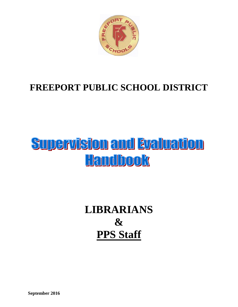

## **FREEPORT PUBLIC SCHOOL DISTRICT**

# **Supervision and Evaluation Handbook**

# **LIBRARIANS & PPS Staff**

**September 2016**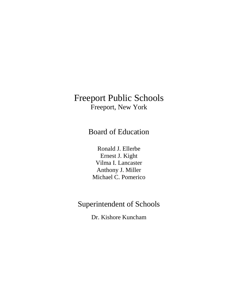Board of Education

Ronald J. Ellerbe Ernest J. Kight Vilma I. Lancaster Anthony J. Miller Michael C. Pomerico

## Superintendent of Schools

Dr. Kishore Kuncham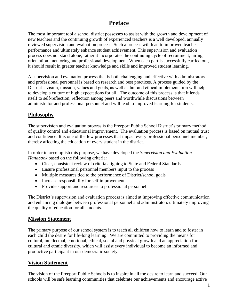### **Preface**

The most important tool a school district possesses to assist with the growth and development of new teachers and the continuing growth of experienced teachers is a well developed, annually reviewed supervision and evaluation process. Such a process will lead to improved teacher performance and ultimately enhance student achievement. This supervision and evaluation process does not stand alone; rather it incorporates the continuing cycle of recruitment, hiring, orientation, mentoring and professional development. When each part is successfully carried out, it should result in greater teacher knowledge and skills and improved student learning.

A supervision and evaluation process that is both challenging and effective with administrators and professional personnel is based on research and best practices. A process guided by the District's vision, mission, values and goals, as well as fair and ethical implementation will help to develop a culture of high expectations for all. The outcome of this process is that it lends itself to self-reflection, reflection among peers and worthwhile discussions between administrator and professional personnel and will lead to improved learning for students.

### **Philosophy**

The supervision and evaluation process is the Freeport Public School District's primary method of quality control and educational improvement. The evaluation process is based on mutual trust and confidence. It is one of the few processes that impact every professional personnel member, thereby affecting the education of every student in the district.

In order to accomplish this purpose, we have developed the *Supervision and Evaluation Handbook* based on the following criteria:

- Clear, consistent review of criteria aligning to State and Federal Standards
- Ensure professional personnel members input to the process
- Multiple measures tied to the performance of District/school goals
- Increase responsibility for self improvement
- Provide support and resources to professional personnel

The District's supervision and evaluation process is aimed at improving effective communication and enhancing dialogue between professional personnel and administrators ultimately improving the quality of education for all students.

### **Mission Statement**

The primary purpose of our school system is to teach all children how to learn and to foster in each child the desire for life-long learning. We are committed to providing the means for cultural, intellectual, emotional, ethical, social and physical growth and an appreciation for cultural and ethnic diversity, which will assist every individual to become an informed and productive participant in our democratic society.

### **Vision Statement**

The vision of the Freeport Public Schools is to inspire in all the desire to learn and succeed. Our schools will be safe learning communities that celebrate our achievements and encourage active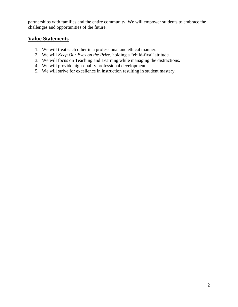partnerships with families and the entire community. We will empower students to embrace the challenges and opportunities of the future.

### **Value Statements**

- 1. We will treat each other in a professional and ethical manner.
- 2. We will *Keep Our Eyes on the Prize*, holding a "child-first" attitude.
- 3. We will focus on Teaching and Learning while managing the distractions.
- 4. We will provide high-quality professional development.
- 5. We will strive for excellence in instruction resulting in student mastery.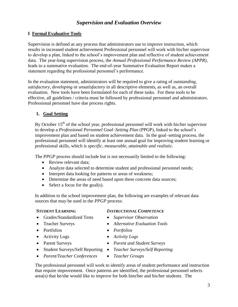### *Supervision and Evaluation Overview*

### **I Formal Evaluative Tools**

Supervision is defined as any process that administrators use to improve instruction, which results in increased student achievement Professional personnel will work with his/her supervisor to develop a plan, linked to the school's improvement plan and reflective of student achievement data. The year-long supervision process, the *Annual Professional Performance Review (APPR)*, leads to a summative evaluation. The end-of-year Summative Evaluation Report makes a statement regarding the professional personnel's performance.

In the evaluation statement, administrators will be required to give a rating of *outstanding, satisfactory*, *developing* or *unsatisfactory* in all descriptive elements, as well as, an overall evaluation. New tools have been formulated for each of these tasks. For these tools to be effective, all guidelines / criteria must be followed by professional personnel and administrators. Professional personnel have due process rights.

### **1. Goal Setting**

By October  $15<sup>th</sup>$  of the school year, professional personnel will work with his/her supervisor to develop a *Professional Personnel Goal–Setting Plan* (PPGP), linked to the school's improvement plan and based on student achievement data. In the goal–setting process, the professional personnel will identify at least one annual goal for improving student learning or professional skills, which is *specific, measurable, attainable and realistic.*

The *PPGP* process should include but is not necessarily limited to the following:

- Review relevant data;
- Analyze data selected to determine student and professional personnel needs;
- Interpret data looking for patterns or areas of weakness;
- Determine the areas of need based upon these concrete data sources;
- $\bullet$  Select a focus for the goal(s).

In addition to the school improvement plan, the following are examples of relevant data sources that may be used in the *PPGP* process:

- Grades/Standardized Tests *Supervisor Observation*
- 
- 
- Activity Logs *Activity Logs*
- 
- Student Surveys/Self Reporting *Teacher Surveys/Self Reporting*
- **STUDENT LEARNING** *INSTRUCTIONAL COMPETENCE*
	-
- Teacher Surveys *Alternative Evaluation Tools*
	-
	-
	-
	-
- *Parent/Teacher Conferences Teacher Groups*
- The professional personnel will work to identify areas of student performance and instruction that require improvement. Once patterns are identified, the professional personnel selects area(s) that he/she would like to improve for both him/her and his/her students. The

- 
- Portfolios *Portfolios*
	-
- Parent Surveys *Parent and Student Surveys*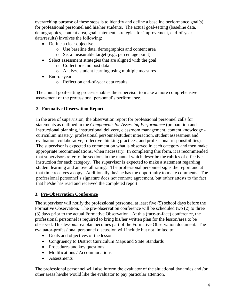overarching purpose of these steps is to identify and define a baseline performance goal(s) for professional personnel and his/her students. The actual goal-setting (baseline data, demographics, content area, goal statement, strategies for improvement, end-of-year data/results) involves the following:

- Define a clear objective
	- o Use baseline data, demographics and content area
	- o Set a measurable target (e.g., percentage point)
- Select assessment strategies that are aligned with the goal
	- o Collect pre and post data
	- o Analyze student learning using multiple measures
- End-of-year
	- o Reflect on end-of-year data results

The annual goal-setting process enables the supervisor to make a more comprehensive assessment of the professional personnel's performance.

### **2. Formative Observation Report**

In the area of supervision, the observation report for professional personnel calls for statements as outlined in the *Components for Assessing Performance* (preparation and instructional planning, instructional delivery, classroom management, content knowledge curriculum mastery, professional personnel/student interaction, student assessment and evaluation, collaborative, reflective thinking practices, and professional responsibilities). The supervisor is expected to comment on what is observed in each category and then make appropriate recommendations, when necessary. In completing this form, it is recommended that supervisors refer to the sections in the manual which describe the rubrics of effective instruction for each category. The supervisor is expected to make a statement regarding student learning and an overall rating. The professional personnel signs the report and at that time receives a copy. Additionally, he/she has the opportunity to make comments. The professional personnel's signature does not connote agreement, but rather attests to the fact that he/she has read and received the completed report.

### **3. Pre-Observation Conference**

The supervisor will notify the professional personnel at least five (5) school days before the Formative Observation. The pre-observation conference will be scheduled two (2) to three (3) days prior to the actual Formative Observation. At this (face-to-face) conference, the professional personnel is required to bring his/her written plan for the lesson/area to be observed. This lesson/area plan becomes part of the Formative Observation document. The evaluator-professional personnel discussion will include but not limited to:

- Goals and objectives of the lesson
- Congruency to District Curriculum Maps and State Standards
- Procedures and key questions
- Modifications / Accommodations
- Assessments

The professional personnel will also inform the evaluator of the situational dynamics and /or other areas he/she would like the evaluator to pay particular attention.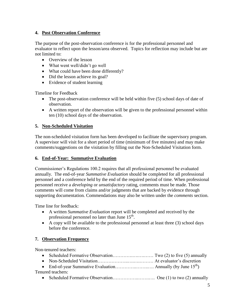### **4. Post Observation Conference**

The purpose of the post-observation conference is for the professional personnel and evaluator to reflect upon the lesson/area observed. Topics for reflection may include but are not limited to:

- Overview of the lesson
- What went well/didn't go well
- What could have been done differently?
- Did the lesson achieve its goal?
- Evidence of student learning

Timeline for Feedback

- The post-observation conference will be held within five (5) school days of date of observation.
- A written report of the observation will be given to the professional personnel within ten (10) school days of the observation.

### **5. Non-Scheduled Visitation**

The non-scheduled visitation form has been developed to facilitate the supervisory program. A supervisor will visit for a short period of time (minimum of five minutes) and may make comments/suggestions on the visitation by filling out the Non-Scheduled Visitation form.

### **6. End-of-Year: Summative Evaluation**

Commissioner's Regulations 100.2 requires that all professional personnel be evaluated annually. The end-of-year *Summative Evaluation* should be completed for all professional personnel and a conference held by the end of the required period of time. When professional personnel receive a *developing* or *unsatisfactory* rating*,* comments must be made. Those comments will come from claims and/or judgments that are backed by evidence through supporting documentation*.* Commendations may also be written under the *comments* section.

Time line for feedback:

- A written *Summative Evaluation* report will be completed and received by the professional personnel no later than June  $15^{th}$ .
- A copy will be available to the professional personnel at least three (3) school days before the conference.

### **7. Observation Frequency**

Non-tenured teachers:

| Tenured teachers: |  |
|-------------------|--|
|                   |  |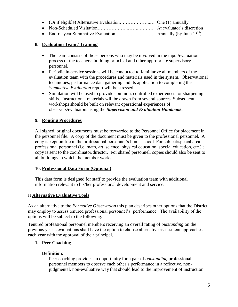|  | At evaluator's discretion |
|--|---------------------------|

End-of-year Summative Evaluation……………..……… Annually (by June 15th)

### **8. Evaluation Team / Training**

- The team consists of those persons who may be involved in the input/evaluation process of the teachers: building principal and other appropriate supervisory personnel.
- Periodic in-service sessions will be conducted to familiarize all members of the evaluation team with the procedures and materials used in the system. Observational techniques, performance data gathering and its application to completing the *Summative Evaluation* report will be stressed.
- Simulation will be used to provide common, controlled experiences for sharpening skills. Instructional materials will be drawn from several sources. Subsequent workshops should be built on relevant operational experiences of observers/evaluators using the *Supervision and Evaluation Handbook.*

### **9. Routing Procedures**

All signed, original documents must be forwarded to the Personnel Office for placement in the personnel file. A copy of the document must be given to the professional personnel. A copy is kept on file in the professional personnel's home school. For subject/special area professional personnel (i.e. math, art, science, physical education, special education, etc.) a copy is sent to the coordinator/director. For shared personnel, copies should also be sent to all buildings in which the member works.

### **10. Professional Data Form (Optional)**

This data form is designed for staff to provide the evaluation team with additional information relevant to his/her professional development and service.

### II **Alternative Evaluative Tools**

As an alternative to the *Formative Observation* this plan describes other options that the District may employ to assess tenured professional personnel's' performance. The availability of the options will be subject to the following:

Tenured professional personnel members receiving an overall rating of *outstanding* on the previous year's evaluations shall have the option to choose alternative assessment approaches each year with the approval of their principal.

### **1. Peer Coaching**

### **Definition:**

Peer coaching provides an opportunity for a pair of *outstanding* professional personnel members to observe each other's performance in a reflective, nonjudgmental, non-evaluative way that should lead to the improvement of instruction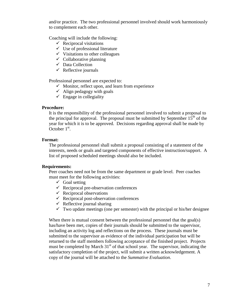and/or practice. The two professional personnel involved should work harmoniously to complement each other.

Coaching will include the following:

- $\checkmark$  Reciprocal visitations
- $\checkmark$  Use of professional literature
- $\checkmark$  Visitations to other colleagues
- $\checkmark$  Collaborative planning
- $\checkmark$  Data Collection
- $\checkmark$  Reflective journals

Professional personnel are expected to:

- $\checkmark$  Monitor, reflect upon, and learn from experience
- $\checkmark$  Align pedagogy with goals
- $\checkmark$  Engage in collegiality

#### **Procedure:**

It is the responsibility of the professional personnel involved to submit a proposal to the principal for approval. The proposal must be submitted by September  $15<sup>th</sup>$  of the year for which it is to be approved. Decisions regarding approval shall be made by  $\overline{\text{October 1}^{\text{st}}}.$ 

#### **Format:**

The professional personnel shall submit a proposal consisting of a statement of the interests, needs or goals and targeted components of effective instruction/support. A list of proposed scheduled meetings should also be included.

#### **Requirements:**

Peer coaches need not be from the same department or grade level. Peer coaches must meet for the following activities:

- $\checkmark$  Goal setting
- $\checkmark$  Reciprocal pre-observation conferences
- $\checkmark$  Reciprocal observations
- $\checkmark$  Reciprocal post-observation conferences
- $\checkmark$  Reflective journal sharing
- $\checkmark$  Two update meetings (one per semester) with the principal or his/her designee

When there is mutual consent between the professional personnel that the goal(s) has/have been met, copies of their journals should be submitted to the supervisor, including an activity log and reflections on the process. These journals must be submitted to the supervisor as evidence of the individual participation but will be returned to the staff members following acceptance of the finished project. Projects must be completed by March  $31<sup>st</sup>$  of that school year. The supervisor, indicating the satisfactory completion of the project, will submit a written acknowledgement. A copy of the journal will be attached to the *Summative Evaluation*.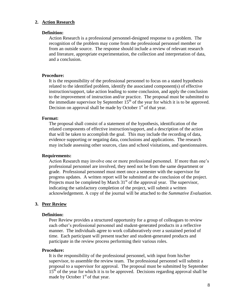#### **2. Action Research**

#### **Definition:**

Action Research is a professional personnel-designed response to a problem. The recognition of the problem may come from the professional personnel member or from an outside source. The response should include a review of relevant research and literature, appropriate experimentation, the collection and interpretation of data, and a conclusion.

#### **Procedure:**

It is the responsibility of the professional personnel to focus on a stated hypothesis related to the identified problem, identify the associated component(s) of effective instruction/support, take action leading to some conclusion, and apply the conclusion to the improvement of instruction and/or practice. The proposal must be submitted to the immediate supervisor by September  $15<sup>th</sup>$  of the year for which it is to be approved. Decision on approval shall be made by October  $1<sup>st</sup>$  of that year.

#### **Format:**

The proposal shall consist of a statement of the hypothesis, identification of the related components of effective instruction/support, and a description of the action that will be taken to accomplish the goal. This may include the recording of data, evidence supporting or negating data, conclusions and applications. The research may include assessing other sources, class and school visitations, and questionnaires.

#### **Requirements:**

Action Research may involve one or more professional personnel. If more than one's professional personnel are involved, they need not be from the same department or grade. Professional personnel must meet once a semester with the supervisor for progress updates. A written report will be submitted at the conclusion of the project. Projects must be completed by March  $31<sup>st</sup>$  of the approval year. The supervisor, indicating the satisfactory completion of the project, will submit a written acknowledgement. A copy of the journal will be attached to the *Summative Evaluation*.

#### **3. Peer Review**

#### **Definition:**

Peer Review provides a structured opportunity for a group of colleagues to review each other's professional personnel and student-generated products in a reflective manner. The individuals agree to work collaboratively over a sustained period of time. Each participant will present teacher and student-generated products and participate in the review process performing their various roles.

#### **Procedure:**

It is the responsibility of the professional personnel, with input from his/her supervisor, to assemble the review team. The professional personnel will submit a proposal to a supervisor for approval. The proposal must be submitted by September  $15<sup>th</sup>$  of the year for which it is to be approved. Decisions regarding approval shall be made by October  $1<sup>st</sup>$  of that year.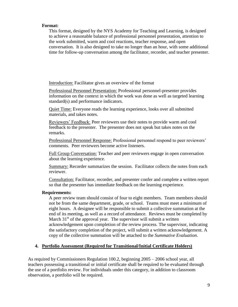#### **Format:**

This format, designed by the NYS Academy for Teaching and Learning, is designed to achieve a reasonable balance of professional personnel presentation, attention to the work submitted, warm and cool reactions, teacher response, and open conversation. It is also designed to take no longer than an hour, with some additional time for follow-up conversation among the facilitator, recorder, and teacher presenter.

Introduction: Facilitator gives an overview of the format

Professional Personnel Presentation: Professional personnel-presenter provides information on the context in which the work was done as well as targeted learning standard(s) and performance indicators.

Quiet Time: Everyone reads the learning experience, looks over all submitted materials, and takes notes.

Reviewers' Feedback: Peer reviewers use their notes to provide warm and cool feedback to the presenter. The presenter does not speak but takes notes on the remarks.

Professional Personnel Response: Professional personnel respond to peer reviewers' comments. Peer reviewers become active listeners.

Full Group Conversation: Teacher and peer reviewers engage in open conversation about the learning experience.

Summary: Recorder summarizes the session. Facilitator collects the notes from each reviewer.

Consultation: Facilitator, recorder, and presenter confer and complete a written report so that the presenter has immediate feedback on the learning experience.

#### **Requirements:**

A peer review team should consist of four to eight members. Team members should not be from the same department, grade, or school. Teams must meet a minimum of eight hours. A designee will be responsible to submit a collective summation at the end of its meeting, as well as a record of attendance. Reviews must be completed by March  $31<sup>st</sup>$  of the approval year. The supervisor will submit a written acknowledgement upon completion of the review process. The supervisor, indicating the satisfactory completion of the project, will submit a written acknowledgement. A copy of the collective summation will be attached to the *Summative Evaluation*.

#### **4. Portfolio Assessment (Required for Transitional/Initial Certificate Holders)**

As required by Commissioners Regulation 100.2, beginning 2005 – 2006 school year, all teachers possessing a transitional or initial certificate shall be required to be evaluated through the use of a portfolio review. For individuals under this category, in addition to classroom observation, a portfolio will be required.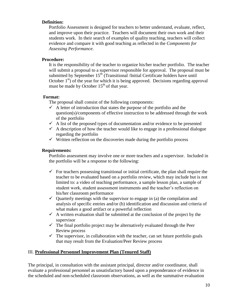#### **Definition:**

Portfolio Assessment is designed for teachers to better understand, evaluate, reflect, and improve upon their practice. Teachers will document their own work and their students work. In their search of examples of quality teaching, teachers will collect evidence and compare it with good teaching as reflected in the *Components for Assessing Performance*.

#### **Procedure:**

It is the responsibility of the teacher to organize his/her teacher portfolio. The teacher will submit a proposal to a supervisor responsible for approval. The proposal must be submitted by September  $15<sup>th</sup>$  (Transitional /Initial Certificate holders have until October  $1<sup>st</sup>$ ) of the year for which it is being approved. Decisions regarding approval must be made by October  $15<sup>th</sup>$  of that year.

#### **Format:**

The proposal shall consist of the following components:

- $\checkmark$  A letter of introduction that states the purpose of the portfolio and the question(s)/components of effective instruction to be addressed through the work of the portfolio
- $\checkmark$  A list of the proposed types of documentation and/or evidence to be presented
- $\checkmark$  A description of how the teacher would like to engage in a professional dialogue regarding the portfolio
- $\checkmark$  Written reflection on the discoveries made during the portfolio process

#### **Requirements:**

Portfolio assessment may involve one or more teachers and a supervisor. Included in the portfolio will be a response to the following:

- $\checkmark$  For teachers possessing transitional or initial certificate, the plan shall require the teacher to be evaluated based on a portfolio review, which may include but is not limited to: a video of teaching performance, a sample lesson plan, a sample of student work, student assessment instruments and the teacher's reflection on his/her classroom performance
- $\checkmark$  Quarterly meetings with the supervisor to engage in (a) the compilation and analysis of specific entries and/or (b) identification and discussion and criteria of what makes a good artifact or a powerful reflection
- $\checkmark$  A written evaluation shall be submitted at the conclusion of the project by the supervisor
- $\checkmark$  The final portfolio project may be alternatively evaluated through the Peer Review process
- $\checkmark$  The supervisor, in collaboration with the teacher, can set future portfolio goals that may result from the Evaluation/Peer Review process

### III. **Professional Personnel Improvement Plan (Tenured Staff)**

The principal, in consultation with the assistant principal, director and/or coordinator, shall evaluate a professional personnel as unsatisfactory based upon a preponderance of evidence in the scheduled and non-scheduled classroom observations, as well as the summative evaluation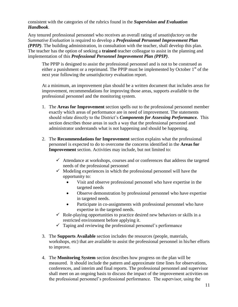consistent with the categories of the rubrics found in the *Supervision and Evaluation Handbook*.

Any tenured professional personnel who receives an overall rating of *unsatisfactory* on the *Summative Evaluation* is required to develop a *Professional Personnel Improvement Plan (PPIP)*. The building administration, in consultation with the teacher, shall develop this plan. The teacher has the option of seeking a **trained** teacher colleague to assist in the planning and implementation of this *Professional Personnel Improvement Plan (PPIP)*.

The PPIP is designed to assist the professional personnel and is not to be construed as either a punishment or a reprimand. The PPIP must be implemented by October  $1<sup>st</sup>$  of the next year following the *unsatisfactory* evaluation report.

At a minimum, an improvement plan should be a written document that includes areas for improvement, recommendations for improving those areas, supports available to the professional personnel and the monitoring system.

- 1. The **Areas for Improvement** section spells out to the professional personnel member exactly which areas of performance are in need of improvement. The statements should relate directly to the District's *Components for Assessing Performance.* This section describes those areas in such a way that the professional personnel and administrator understands what is not happening and should be happening.
- 2. The **Recommendations for Improvement** section explains what the professional personnel is expected to do to overcome the concerns identified in the **Areas for Improvement** section. Activities may include, but not limited to:
	- $\checkmark$  Attendance at workshops, courses and or conferences that address the targeted needs of the professional personnel
	- $\checkmark$  Modeling experiences in which the professional personnel will have the opportunity to:
		- Visit and observe professional personnel who have expertise in the targeted needs
		- Observe demonstration by professional personnel who have expertise in targeted needs.
		- Participate in co-assignments with professional personnel who have expertise in the targeted needs.
	- $\checkmark$  Role-playing opportunities to practice desired new behaviors or skills in a restricted environment before applying it.
	- $\checkmark$  Taping and reviewing the professional personnel's performance
- 3. The **Supports Available** section includes the resources (people, materials, workshops, etc) that are available to assist the professional personnel in his/her efforts to improve.
- 4. The **Monitoring System** section describes how progress on the plan will be measured. It should include the pattern and approximate time lines for observations, conferences, and interim and final reports. The professional personnel and supervisor shall meet on an ongoing basis to discuss the impact of the improvement activities on the professional personnel's professional performance. The supervisor, using the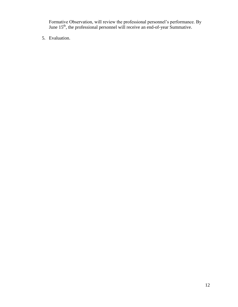Formative Observation, will review the professional personnel's performance. By June  $15<sup>th</sup>$ , the professional personnel will receive an end-of-year Summative.

5. Evaluation.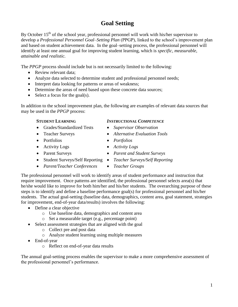### **Goal Setting**

By October  $15<sup>th</sup>$  of the school year, professional personnel will work with his/her supervisor to develop a *Professional Personnel Goal–Setting Plan* (PPGP), linked to the school's improvement plan and based on student achievement data. In the goal–setting process, the professional personnel will identify at least one annual goal for improving student learning, which is *specific, measurable, attainable and realistic.*

The *PPGP* process should include but is not necessarily limited to the following:

- Review relevant data;
- Analyze data selected to determine student and professional personnel needs;
- Interpret data looking for patterns or areas of weakness;
- Determine the areas of need based upon these concrete data sources;
- $\bullet$  Select a focus for the goal(s).

In addition to the school improvement plan, the following are examples of relevant data sources that may be used in the *PPGP* process:

#### **STUDENT LEARNING** *INSTRUCTIONAL COMPETENCE*

- Grades/Standardized Tests *Supervisor Observation*
- 
- 
- Activity Logs *Activity Logs*
- 
- Student Surveys/Self Reporting *Teacher Surveys/Self Reporting*
- 
- Teacher Surveys *Alternative Evaluation Tools*
- Portfolios *Portfolios*
	-
- Parent Surveys *Parent and Student Surveys*
	-
- *Parent/Teacher Conferences Teacher Groups*

The professional personnel will work to identify areas of student performance and instruction that require improvement. Once patterns are identified, the professional personnel selects area(s) that he/she would like to improve for both him/her and his/her students. The overarching purpose of these steps is to identify and define a baseline performance goal(s) for professional personnel and his/her students. The actual goal-setting (baseline data, demographics, content area, goal statement, strategies for improvement, end-of-year data/results) involves the following:

- Define a clear objective
	- o Use baseline data, demographics and content area
	- o Set a measurable target (e.g., percentage point)
- Select assessment strategies that are aligned with the goal
	- o Collect pre and post data
	- o Analyze student learning using multiple measures
- End-of-year
	- o Reflect on end-of-year data results

The annual goal-setting process enables the supervisor to make a more comprehensive assessment of the professional personnel's performance.

- -
	-
	-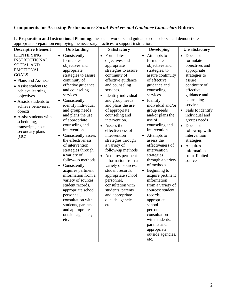### **Components for Assessing Performance***: Social Workers and Guidance Counselors* **Rubrics**

| The parameter and then activities a minimity. The social workers and guidance counselors share demonstr<br>appropriate preparation employing the necessary practices to support instruction.                                                                                                                                             |                                                                                                                                                                                                                                                                                                                                                                                                                                                                                                                                                                                                                                                                               |                                                                                                                                                                                                                                                                                                                                                                                                                                                                                                                                                                                                       |                                                                                                                                                                                                                                                                                                                                                                                                                                                                                                                                                                                                                                                                    |                                                                                                                                                                                                                                                                                                                                                                              |  |
|------------------------------------------------------------------------------------------------------------------------------------------------------------------------------------------------------------------------------------------------------------------------------------------------------------------------------------------|-------------------------------------------------------------------------------------------------------------------------------------------------------------------------------------------------------------------------------------------------------------------------------------------------------------------------------------------------------------------------------------------------------------------------------------------------------------------------------------------------------------------------------------------------------------------------------------------------------------------------------------------------------------------------------|-------------------------------------------------------------------------------------------------------------------------------------------------------------------------------------------------------------------------------------------------------------------------------------------------------------------------------------------------------------------------------------------------------------------------------------------------------------------------------------------------------------------------------------------------------------------------------------------------------|--------------------------------------------------------------------------------------------------------------------------------------------------------------------------------------------------------------------------------------------------------------------------------------------------------------------------------------------------------------------------------------------------------------------------------------------------------------------------------------------------------------------------------------------------------------------------------------------------------------------------------------------------------------------|------------------------------------------------------------------------------------------------------------------------------------------------------------------------------------------------------------------------------------------------------------------------------------------------------------------------------------------------------------------------------|--|
| <b>Descriptive Element</b>                                                                                                                                                                                                                                                                                                               | Outstanding                                                                                                                                                                                                                                                                                                                                                                                                                                                                                                                                                                                                                                                                   | <b>Satisfactory</b>                                                                                                                                                                                                                                                                                                                                                                                                                                                                                                                                                                                   | <b>Developing</b>                                                                                                                                                                                                                                                                                                                                                                                                                                                                                                                                                                                                                                                  | Unsatisfactory                                                                                                                                                                                                                                                                                                                                                               |  |
| <b>IDENTIFYING</b><br><b>INSTRUCTIONAL</b><br><b>SOCIAL AND</b><br><b>EMOTIONAL</b><br><b>GOALS</b><br>• Plans and Assesses<br>• Assist students to<br>achieve learning<br>objectives<br>• Assists students to<br>achieve behavioral<br>objects<br>• Assist students with<br>scheduling,<br>transcripts, post<br>secondary plans<br>(GC) | • Consistently<br>formulates<br>objectives and<br>appropriate<br>strategies to assure<br>continuity of<br>effective guidance<br>and counseling<br>services.<br>Consistently<br>$\bullet$<br>identify individual<br>and group needs<br>and plans the use<br>of appropriate<br>counseling and<br>intervention.<br>Consistently assess<br>the effectiveness<br>of intervention<br>strategies through<br>a variety of<br>follow-up methods<br>• Consistently<br>acquires pertinent<br>information from a<br>variety of sources:<br>student records,<br>appropriate school<br>personnel,<br>consultation with<br>students, parents<br>and appropriate<br>outside agencies,<br>etc. | • Formulates<br>objectives and<br>appropriate<br>strategies to assure<br>continuity of<br>effective guidance<br>and counseling<br>services.<br>Identify individual<br>and group needs<br>and plans the use<br>of appropriate<br>counseling and<br>intervention.<br>• Assess the<br>effectiveness of<br>intervention<br>strategies through<br>a variety of<br>follow-up methods<br>• Acquires pertinent<br>information from a<br>variety of sources:<br>student records,<br>appropriate school<br>personnel,<br>consultation with<br>students, parents<br>and appropriate<br>outside agencies,<br>etc. | Attempts to<br>$\bullet$<br>formulate<br>objectives and<br>strategies, to<br>assure continuity<br>of effective<br>guidance and<br>counseling<br>services.<br>• Identify<br>individual and/or<br>group needs<br>and/or plans the<br>use of<br>counseling and<br>intervention.<br>Attempts to<br>$\bullet$<br>assess the<br>effectiveness of<br>intervention<br>strategies<br>through a variety<br>of methods<br>$\bullet$ Beginning to<br>acquire pertinent<br>information<br>from a variety of<br>sources: student<br>records,<br>appropriate<br>school<br>personnel,<br>consultation<br>with students,<br>parents and<br>appropriate<br>outside agencies,<br>etc. | Does not<br>$\bullet$<br>formulate<br>objectives and<br>appropriate<br>strategies to<br>assure<br>continuity of<br>effective<br>guidance and<br>counseling<br>services.<br>• Fails to identify<br>individual and<br>groups needs<br>Does not<br>$\bullet$<br>follow-up with<br>intervention<br>strategies<br>Acquires<br>$\bullet$<br>information<br>from limited<br>sources |  |

**I. Preparation and Instructional Planning**: the social workers and guidance counselors shall demonstrate

 $\overline{\phantom{a}}$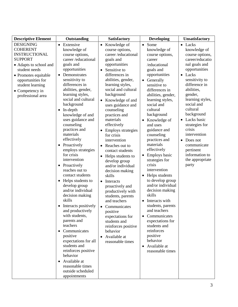| <b>Descriptive Element</b>                                                                                                                                                                                                        | Outstanding                                                                                                                                                                                                                                                                                                                                                                                                                                                                                                                                                                                                                                                                                                                                                                                                                                                                                                                                  | Satisfactory                                                                                                                                                                                                                                                                                                                                                                                                                                                                                                                                                                                                                                                                                                                                                                                         | <b>Developing</b>                                                                                                                                                                                                                                                                                                                                                                                                                                                                                                                                                                                                                                                                                                                                                                   | <b>Unsatisfactory</b>                                                                                                                                                                                                                                                                                                                                                                                         |
|-----------------------------------------------------------------------------------------------------------------------------------------------------------------------------------------------------------------------------------|----------------------------------------------------------------------------------------------------------------------------------------------------------------------------------------------------------------------------------------------------------------------------------------------------------------------------------------------------------------------------------------------------------------------------------------------------------------------------------------------------------------------------------------------------------------------------------------------------------------------------------------------------------------------------------------------------------------------------------------------------------------------------------------------------------------------------------------------------------------------------------------------------------------------------------------------|------------------------------------------------------------------------------------------------------------------------------------------------------------------------------------------------------------------------------------------------------------------------------------------------------------------------------------------------------------------------------------------------------------------------------------------------------------------------------------------------------------------------------------------------------------------------------------------------------------------------------------------------------------------------------------------------------------------------------------------------------------------------------------------------------|-------------------------------------------------------------------------------------------------------------------------------------------------------------------------------------------------------------------------------------------------------------------------------------------------------------------------------------------------------------------------------------------------------------------------------------------------------------------------------------------------------------------------------------------------------------------------------------------------------------------------------------------------------------------------------------------------------------------------------------------------------------------------------------|---------------------------------------------------------------------------------------------------------------------------------------------------------------------------------------------------------------------------------------------------------------------------------------------------------------------------------------------------------------------------------------------------------------|
| <b>DESIGNING</b><br><b>COHERENT</b><br><b>INSTRUCTIONAL</b><br><b>SUPPORT</b><br>• Adapts to school and<br>student needs<br>• Promotes equitable<br>opportunities for<br>student learning<br>• Competency in<br>professional area | Extensive<br>$\bullet$<br>knowledge of<br>course options,<br>career/educational<br>goals and<br>opportunities<br>Demonstrates<br>$\bullet$<br>sensitivity to<br>differences in<br>abilities, gender,<br>learning styles,<br>social and cultural<br>background<br>In-depth<br>$\bullet$<br>knowledge of and<br>uses guidance and<br>counseling<br>practices and<br>materials<br>effectively<br>Proactively<br>$\bullet$<br>employs strategies<br>for crisis<br>intervention<br>Proactively<br>$\bullet$<br>reaches out to<br>contact students<br>Helps students to<br>$\bullet$<br>develop group<br>and/or individual<br>decision making<br>skills<br>Interacts positively<br>٠<br>and productively<br>with students,<br>parents and<br>teachers<br>Communicates<br>positive<br>expectations for all<br>students and<br>reinforces positive<br>behavior<br>Available at<br>$\bullet$<br>reasonable times<br>outside scheduled<br>appointments | • Knowledge of<br>course options,<br>career/educational<br>goals and<br>opportunities<br>Sensitive to<br>$\bullet$<br>differences in<br>abilities, gender,<br>learning styles,<br>social and cultural<br>background<br>Knowledge of and<br>$\bullet$<br>uses guidance and<br>counseling<br>practices and<br>materials<br>effectively<br>• Employs strategies<br>for crisis<br>intervention<br>• Reaches out to<br>contact students<br>• Helps students to<br>develop group<br>and/or individual<br>decision making<br>skills<br>Interacts<br>$\bullet$<br>proactively and<br>productively with<br>students, parents<br>and teachers<br>Communicates<br>$\bullet$<br>positive<br>expectations for<br>students and<br>reinforces positive<br>behavior<br>Available at<br>$\bullet$<br>reasonable times | Some<br>$\bullet$<br>knowledge of<br>course options,<br>career<br>/educational<br>goals and<br>opportunities<br>Generally<br>$\bullet$<br>sensitive to<br>differences in<br>abilities, gender,<br>learning styles,<br>social and<br>cultural<br>background<br>Knowledge of<br>$\bullet$<br>and uses<br>guidance and<br>counseling<br>practices and<br>materials<br>effectively<br><b>Employs basic</b><br>$\bullet$<br>strategies for<br>crisis<br>intervention<br>Helps students<br>$\bullet$<br>to develop group<br>and/or individual<br>decision making<br>skills<br>Interacts with<br>students, parents<br>and teachers<br>Communicates<br>$\bullet$<br>expectations for<br>students and<br>reinforces<br>positive<br>behavior<br>Available at<br>$\bullet$<br>reasonable times | • Lacks<br>knowledge of<br>course options,<br>career/educatio<br>nal goals and<br>opportunities<br>• Lacks<br>sensitivity to<br>difference in<br>abilities,<br>gender,<br>learning styles,<br>social and<br>cultural<br>background<br>Lacks basic<br>$\bullet$<br>strategies for<br>crisis<br>intervention<br>Does not<br>$\bullet$<br>communicate<br>pertinent<br>information to<br>the appropriate<br>party |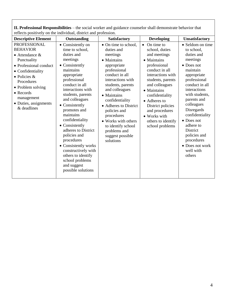| reflects positively on the individual, district and profession.                                                                                                                                                                                              |                                                                                                                                                                                                                                                                                                                                                                                                                                                                              |                                                                                                                                                                                                                                                                                                                                                                   |                                                                                                                                                                                                                                                                                                                          |                                                                                                                                                                                                                                                                                                                                                            |  |
|--------------------------------------------------------------------------------------------------------------------------------------------------------------------------------------------------------------------------------------------------------------|------------------------------------------------------------------------------------------------------------------------------------------------------------------------------------------------------------------------------------------------------------------------------------------------------------------------------------------------------------------------------------------------------------------------------------------------------------------------------|-------------------------------------------------------------------------------------------------------------------------------------------------------------------------------------------------------------------------------------------------------------------------------------------------------------------------------------------------------------------|--------------------------------------------------------------------------------------------------------------------------------------------------------------------------------------------------------------------------------------------------------------------------------------------------------------------------|------------------------------------------------------------------------------------------------------------------------------------------------------------------------------------------------------------------------------------------------------------------------------------------------------------------------------------------------------------|--|
| <b>Descriptive Element</b>                                                                                                                                                                                                                                   | Outstanding                                                                                                                                                                                                                                                                                                                                                                                                                                                                  | Satisfactory                                                                                                                                                                                                                                                                                                                                                      | <b>Developing</b>                                                                                                                                                                                                                                                                                                        | <b>Unsatisfactory</b>                                                                                                                                                                                                                                                                                                                                      |  |
| <b>PROFESSIONAL</b><br><b>BEHAVIOR</b><br>$\bullet$ Attendance &<br>Punctuality<br>• Professional conduct<br>• Confidentiality<br>$\bullet$ Policies &<br>Procedures<br>• Problem solving<br>• Records<br>management<br>• Duties, assignments<br>& deadlines | • Consistently on<br>time to school,<br>duties and<br>meetings<br>Consistently<br>maintains<br>appropriate<br>professional<br>conduct in all<br>interactions with<br>students, parents<br>and colleagues<br>Consistently<br>promotes and<br>maintains<br>confidentiality<br>• Consistently<br>adheres to District<br>policies and<br>procedures<br>• Consistently works<br>constructively with<br>others to identify<br>school problems<br>and suggest<br>possible solutions | • On time to school,<br>duties and<br>meetings<br>• Maintains<br>appropriate<br>professional<br>conduct in all<br>interactions with<br>students, parents<br>and colleagues<br>• Maintains<br>confidentiality<br>• Adheres to District<br>policies and<br>procedures<br>• Works with others<br>to identify school<br>problems and<br>suggest possible<br>solutions | On time to<br>$\bullet$<br>school, duties<br>and meetings<br>• Maintains<br>professional<br>conduct in all<br>interactions with<br>students, parents<br>and colleagues<br>• Maintains<br>confidentiality<br>• Adheres to<br>District policies<br>and procedures<br>• Works with<br>others to identify<br>school problems | • Seldom on time<br>to school,<br>duties and<br>meetings<br>$\bullet$ Does not<br>maintain<br>appropriate<br>professional<br>conduct in all<br>interactions<br>with students,<br>parents and<br>colleagues<br>Disregards<br>confidentiality<br>• Does not<br>adhere to<br>District<br>policies and<br>procedures<br>• Does not work<br>well with<br>others |  |

**II. Professional Responsibilities** – the social worker and guidance counselor shall demonstrate behavior that reflects positively on the individual, district and profession.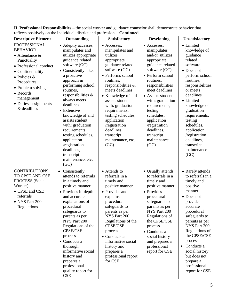| II. Professional Responsibilities - the social worker and guidance counselor shall demonstrate behavior that<br>reflects positively on the individual, district and profession. - Continued                                                                    |                                                                                                                                                                                                                                                                                                                                                                                                                                                          |                                                                                                                                                                                                                                                                                                                                                                        |                                                                                                                                                                                                                                                                                                                                                |                                                                                                                                                                                                                                                                                                                                          |  |
|----------------------------------------------------------------------------------------------------------------------------------------------------------------------------------------------------------------------------------------------------------------|----------------------------------------------------------------------------------------------------------------------------------------------------------------------------------------------------------------------------------------------------------------------------------------------------------------------------------------------------------------------------------------------------------------------------------------------------------|------------------------------------------------------------------------------------------------------------------------------------------------------------------------------------------------------------------------------------------------------------------------------------------------------------------------------------------------------------------------|------------------------------------------------------------------------------------------------------------------------------------------------------------------------------------------------------------------------------------------------------------------------------------------------------------------------------------------------|------------------------------------------------------------------------------------------------------------------------------------------------------------------------------------------------------------------------------------------------------------------------------------------------------------------------------------------|--|
| <b>Descriptive Element</b>                                                                                                                                                                                                                                     | Outstanding                                                                                                                                                                                                                                                                                                                                                                                                                                              | <b>Satisfactory</b>                                                                                                                                                                                                                                                                                                                                                    | <b>Developing</b>                                                                                                                                                                                                                                                                                                                              | Unsatisfactory                                                                                                                                                                                                                                                                                                                           |  |
| <b>PROFESSIONAL</b><br><b>BEHAVIOR</b><br>$\bullet$ Attendance &<br>Punctuality<br>• Professional conduct<br>• Confidentiality<br>$\bullet$ Policies &<br>Procedures<br>• Problem solving<br>• Records<br>management<br>· Duties, assignments<br>$&$ deadlines | • Adeptly accesses,<br>manipulates and<br>utilizes appropriate<br>guidance related<br>software (GC)<br>• Consistently takes<br>a proactive<br>approach in<br>performing school<br>routines,<br>responsibilities &<br>always meets<br>deadlines<br>• Extensive<br>knowledge of and<br>assists student<br>with: graduation<br>requirements,<br>testing schedules,<br>application<br>/registration<br>deadlines,<br>transcript<br>maintenance, etc.<br>(GC) | • Accesses,<br>manipulates and<br>utilizes<br>appropriate<br>guidance related<br>software (GC)<br>• Performs school<br>routines,<br>responsibilities &<br>meets deadlines<br>• Knowledge of and<br>assists student<br>with: graduation<br>requirements,<br>testing schedules,<br>application<br>/registration<br>deadlines,<br>transcript<br>maintenance, etc.<br>(GC) | • Accesses,<br>manipulates<br>and/or utilizes<br>appropriate<br>guidance related<br>software (GC)<br>• Perform school<br>routines,<br>responsibilities<br>meet deadlines<br>• Assists student<br>with: graduation<br>requirements,<br>testing<br>schedules,<br>application<br>/registration<br>deadlines,<br>transcript<br>maintenance<br>(GC) | • Limited<br>knowledge of<br>guidance<br>related<br>software<br>• Does not<br>perform school<br>routines,<br>responsibilities<br>or meets<br>deadlines<br>• Limited<br>knowledge of<br>graduation<br>requirements,<br>testing<br>schedules,<br>application<br>/registration<br>deadlines,<br>transcript<br>maintenance<br>(GC)           |  |
| <b>CONTRIBUTIONS</b><br>TO CPSE AND CSE<br>PROCESS (Social<br>Worker)<br>• CPSE and CSE<br>referrals<br>• NYS Part 200<br>Regulations                                                                                                                          | • Consistently<br>attends to referrals<br>in a timely and<br>positive manner<br>• Provides in-depth<br>and accurate<br>explanations of<br>procedural<br>safeguards to<br>parents as per<br>NYS Part 200<br>Regulations of the<br>CPSE/CSE<br>process<br>• Conducts a<br>thorough,<br>informative social<br>history and<br>prepares a<br>professional<br>quality report for<br><b>CSE</b>                                                                 | • Attends to<br>referrals in a<br>timely and<br>positive manner<br>• Provides and<br>explains<br>procedural<br>safeguards to<br>parents as per<br>NYS Part 200<br>Regulations of the<br><b>CPSE/CSE</b><br>process<br>• Conducts an<br>informative social<br>history and<br>prepares a<br>professional report<br>for CSE                                               | • Usually attends<br>to referrals in a<br>timely and<br>positive manner<br>• Provides<br>procedural<br>safeguards to<br>parents as per<br>NYS Part 200<br>Regulations of<br>the CPSE/CSE<br>process<br>• Conducts a<br>social history<br>and prepares a<br>professional<br>report for CSE                                                      | • Rarely attends<br>to referrals in a<br>timely and<br>positive<br>manner<br>• Does not<br>provide<br>accurate<br>procedural<br>safeguards to<br>parents as per<br>NYS Part 200<br>Regulations of<br>the CPSE/CSE<br>process<br>Conducts a<br>$\bullet$<br>social history<br>but does not<br>prepare a<br>professional<br>report for CSE |  |

**II. Professional Responsibilities** – the social worker and guidance counselor shall demonstrate behavior that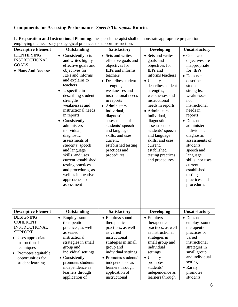### **Components for Assessing Performance:** *Speech Therapists* **Rubrics**

**I. Preparation and Instructional Planning**: the speech therapist shall demonstrate appropriate preparation employing the necessary pedagogical practices to support instruction.

|                                                                                                                                                                                                                | employing the necessary pedagogical practices to support instruction.                                                                                                                                                                                                                                                                                                                                                                                                                                                                                |                                                                                                                                                                                                                                                                                                                                                                                             |                                                                                                                                                                                                                                                                                                                                                                                   |                                                                                                                                                                                                                                                                                                                                                                                               |
|----------------------------------------------------------------------------------------------------------------------------------------------------------------------------------------------------------------|------------------------------------------------------------------------------------------------------------------------------------------------------------------------------------------------------------------------------------------------------------------------------------------------------------------------------------------------------------------------------------------------------------------------------------------------------------------------------------------------------------------------------------------------------|---------------------------------------------------------------------------------------------------------------------------------------------------------------------------------------------------------------------------------------------------------------------------------------------------------------------------------------------------------------------------------------------|-----------------------------------------------------------------------------------------------------------------------------------------------------------------------------------------------------------------------------------------------------------------------------------------------------------------------------------------------------------------------------------|-----------------------------------------------------------------------------------------------------------------------------------------------------------------------------------------------------------------------------------------------------------------------------------------------------------------------------------------------------------------------------------------------|
| <b>Descriptive Element</b>                                                                                                                                                                                     | Outstanding                                                                                                                                                                                                                                                                                                                                                                                                                                                                                                                                          | Satisfactory                                                                                                                                                                                                                                                                                                                                                                                | <b>Developing</b>                                                                                                                                                                                                                                                                                                                                                                 | <b>Unsatisfactory</b>                                                                                                                                                                                                                                                                                                                                                                         |
| <b>IDENTIFYING</b><br><b>INSTRUCTIONAL</b><br><b>GOALS</b><br>• Plans And Assesses                                                                                                                             | Consistently sets<br>$\bullet$<br>and writes highly<br>effective goals and<br>objectives for<br>IEPs and informs<br>and explains to<br>teachers<br>Is specific in<br>$\bullet$<br>describing student<br>strengths,<br>weaknesses and<br>instructional needs<br>in reports<br>Consistently<br>$\bullet$<br>administers<br>individual,<br>diagnostic<br>assessments of<br>students' speech<br>and language<br>skills, and uses<br>current, established<br>testing practices<br>and procedures, as<br>well as innovative<br>approaches to<br>assessment | • Sets and writes<br>effective goals and<br>objectives for<br>IEPs and informs<br>teachers<br>• Describes student<br>strengths,<br>weaknesses and<br>instructional needs<br>in reports<br>Administers<br>$\bullet$<br>individual,<br>diagnostic<br>assessments of<br>students' speech<br>and language<br>skills, and uses<br>current,<br>established testing<br>practices and<br>procedures | • Sets and writes<br>goals and<br>objectives for<br>IEPs and<br>informs teachers<br>• Usually<br>describes student<br>strengths,<br>weaknesses and<br>instructional<br>needs in reports<br>• Administers<br>individual,<br>diagnostic<br>assessments of<br>students' speech<br>and language<br>skills, and uses<br>current,<br>established<br>testing practices<br>and procedures | • Goals and<br>objectives are<br>inappropriate<br>for IEPs<br>• Does not<br>describe<br>student<br>strengths,<br>weaknesses<br>nor<br>instructional<br>needs in<br>reports<br>$\bullet$ Does not<br>administer<br>individual,<br>diagnostic<br>assessments of<br>students'<br>speech and<br>language<br>skills, nor uses<br>current,<br>established<br>testing<br>practices and<br>procedures |
| <b>Descriptive Element</b>                                                                                                                                                                                     | Outstanding                                                                                                                                                                                                                                                                                                                                                                                                                                                                                                                                          | <b>Satisfactory</b>                                                                                                                                                                                                                                                                                                                                                                         | <b>Developing</b>                                                                                                                                                                                                                                                                                                                                                                 | <b>Unsatisfactory</b>                                                                                                                                                                                                                                                                                                                                                                         |
| <b>DESIGNING</b><br><b>COHERENT</b><br><b>INSTRUCTIONAL</b><br><b>SUPPORT</b><br>• Uses appropriate<br>instructional<br>techniques<br>Promotes equitable<br>$\bullet$<br>opportunities for<br>student learning | Employs sound<br>therapeutic<br>practices, as well<br>as varied<br>instructional<br>strategies in small<br>group and<br>individual settings<br>• Consistently<br>promotes students'<br>independence as<br>learners through<br>application of                                                                                                                                                                                                                                                                                                         | • Employs sound<br>therapeutic<br>practices, as well<br>as varied<br>instructional<br>strategies in small<br>group and<br>individual settings<br>Promotes students'<br>independence as<br>learners through<br>application of<br>instructional                                                                                                                                               | • Employs<br>therapeutic<br>practices, as well<br>as instructional<br>strategies in<br>small group and<br>individual<br>settings<br>• Usually<br>promotes<br>students'<br>independence as<br>learners through                                                                                                                                                                     | $\bullet$ Does not<br>employ sound<br>therapeutic<br>practices or<br>varied<br>instructional<br>strategies in<br>small group<br>and individual<br>settings<br>• Rarely<br>promotes<br>students'                                                                                                                                                                                               |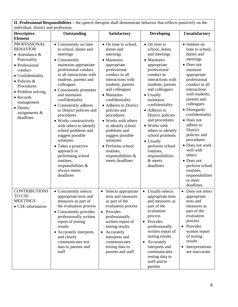**II. Professional Responsibilities –** the speech therapist shall demonstrate behavior that reflects positively on the individual, district and profession.

| individual, district and profession.                                                                                                                                                                                                                                  |                                                                                                                                                                                                                                                                                                                                                                                                                                                                                                                                                                            |                                                                                                                                                                                                                                                                                                                                                                                                                                              |                                                                                                                                                                                                                                                                                                                                                                                                                                        |                                                                                                                                                                                                                                                                                                                                                                                                                                                       |
|-----------------------------------------------------------------------------------------------------------------------------------------------------------------------------------------------------------------------------------------------------------------------|----------------------------------------------------------------------------------------------------------------------------------------------------------------------------------------------------------------------------------------------------------------------------------------------------------------------------------------------------------------------------------------------------------------------------------------------------------------------------------------------------------------------------------------------------------------------------|----------------------------------------------------------------------------------------------------------------------------------------------------------------------------------------------------------------------------------------------------------------------------------------------------------------------------------------------------------------------------------------------------------------------------------------------|----------------------------------------------------------------------------------------------------------------------------------------------------------------------------------------------------------------------------------------------------------------------------------------------------------------------------------------------------------------------------------------------------------------------------------------|-------------------------------------------------------------------------------------------------------------------------------------------------------------------------------------------------------------------------------------------------------------------------------------------------------------------------------------------------------------------------------------------------------------------------------------------------------|
| <b>Descriptive</b><br><b>Element</b>                                                                                                                                                                                                                                  | Outstanding                                                                                                                                                                                                                                                                                                                                                                                                                                                                                                                                                                | Satisfactory                                                                                                                                                                                                                                                                                                                                                                                                                                 | <b>Developing</b>                                                                                                                                                                                                                                                                                                                                                                                                                      | Unsatisfactory                                                                                                                                                                                                                                                                                                                                                                                                                                        |
| <b>PROFESSIONAL</b><br><b>BEHAVIOR</b><br>$\bullet$ Attendance &<br>Punctuality<br>• Professional<br>conduct<br>• Confidentiality<br>$\bullet$ Policies &<br>Procedures<br>• Problem solving<br>• Records<br>management<br>• Duties,<br>assignments $\&$<br>deadlines | • Consistently on time<br>to school, duties and<br>meetings<br>• Consistently<br>maintains appropriate<br>professional conduct<br>in all interactions with<br>students, parents and<br>colleagues<br>• Consistently promotes<br>and maintains<br>confidentiality<br>• Consistently adheres<br>to District policies and<br>procedures<br>• Works constructively<br>with others to identify<br>school problems and<br>suggest possible<br>solutions<br>Takes a proactive<br>approach in<br>performing school<br>routines,<br>responsibilities &<br>always meets<br>deadlines | • On time to school,<br>duties and<br>meetings<br>• Maintains<br>appropriate<br>professional<br>conduct in all<br>interactions with<br>students, parents<br>and colleagues<br>• Maintains<br>confidentiality<br>• Adheres to District<br>policies and<br>procedures<br>• Works with others<br>to identify school<br>problems and<br>suggest possible<br>solutions<br>• Performs school<br>routines,<br>responsibilities &<br>meets deadlines | $\bullet$ On time to<br>school, duties<br>and meetings<br>• Maintains<br>appropriate<br>professional<br>conduct in<br>interactions with<br>students, parents<br>and colleagues<br>• Usually<br>maintains<br>confidentiality<br>• Adheres to<br>District policies<br>and procedures<br>• Works with<br>others to identify<br>school problems<br>• Usually<br>performs school<br>routines,<br>responsibilities<br>$&$ meets<br>deadlines | • Seldom on<br>time to school,<br>duties and<br>meetings<br>• Does not<br>maintain<br>appropriate<br>professional<br>conduct in all<br>interactions<br>with students,<br>parents and<br>colleagues<br>• Disregards<br>confidentiality<br>$\bullet$ Does not<br>adhere to<br>District<br>policies and<br>procedures<br>• Does not work<br>well with<br>others<br>• Does not<br>perform school<br>routines,<br>responsibilities<br>or meet<br>deadlines |
| <b>CONTRIBUTIONS</b><br><b>TO CSE</b><br><b>MEETINGS</b><br>• CSE information                                                                                                                                                                                         | • Consistently selects<br>appropriate tests and<br>measures as part of<br>the evaluation process<br>• Consistently provides<br>professionally written<br>report of testing<br>results<br>• Accurately interprets<br>and clearly<br>communicates test<br>data to parents and<br>staff                                                                                                                                                                                                                                                                                       | $\bullet$<br>Selects appropriate<br>tests and measures<br>as part of the<br>evaluation process<br>Provides<br>$\bullet$<br>professionally<br>written report of<br>testing results<br>Accurately<br>$\bullet$<br>interprets and<br>communicates<br>testing data to<br>parents and staff                                                                                                                                                       | Usually selects<br>$\bullet$<br>appropriate tests<br>and measures as<br>part of the<br>evaluation<br>process<br>• Provides<br>professionally<br>written report of<br>testing results<br>Accurately<br>$\bullet$<br>interprets and<br>communicates<br>testing data to<br>staff and/or<br>parents                                                                                                                                        | • Does not select<br>appropriate<br>tests and<br>measures as<br>part of the<br>evaluation<br>process<br>• Provides<br>written report<br>of testing<br>results<br>Interpretations<br>$\bullet$<br>are inaccurate                                                                                                                                                                                                                                       |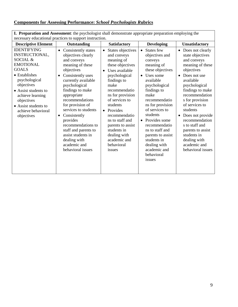### **Components for Assessing Performance:** *School Psychologists R***ubrics**

| necessary educational practices to support instruction.                                                                                                                                                                                                    |                                                                                                                                                                                                                                                                                                                                                                                                                                               |                                                                                                                                                                                                                                                                                                                                                                                    |                                                                                                                                                                                                                                                                                                                                                                                           |                                                                                                                                                                                                                                                                                                                                                                                                       |  |
|------------------------------------------------------------------------------------------------------------------------------------------------------------------------------------------------------------------------------------------------------------|-----------------------------------------------------------------------------------------------------------------------------------------------------------------------------------------------------------------------------------------------------------------------------------------------------------------------------------------------------------------------------------------------------------------------------------------------|------------------------------------------------------------------------------------------------------------------------------------------------------------------------------------------------------------------------------------------------------------------------------------------------------------------------------------------------------------------------------------|-------------------------------------------------------------------------------------------------------------------------------------------------------------------------------------------------------------------------------------------------------------------------------------------------------------------------------------------------------------------------------------------|-------------------------------------------------------------------------------------------------------------------------------------------------------------------------------------------------------------------------------------------------------------------------------------------------------------------------------------------------------------------------------------------------------|--|
| <b>Descriptive Element</b>                                                                                                                                                                                                                                 | Outstanding                                                                                                                                                                                                                                                                                                                                                                                                                                   | <b>Satisfactory</b>                                                                                                                                                                                                                                                                                                                                                                | <b>Developing</b>                                                                                                                                                                                                                                                                                                                                                                         | <b>Unsatisfactory</b>                                                                                                                                                                                                                                                                                                                                                                                 |  |
| <b>IDENTIFYING</b><br>INSTRUCTIONAL,<br>SOCIAL &<br><b>EMOTIONAL</b><br><b>GOALS</b><br>• Establishes<br>psychological<br>objectives<br>• Assist students to<br>achieve learning<br>objectives<br>• Assist students to<br>achieve behavioral<br>objectives | Consistently states<br>$\bullet$<br>objectives clearly<br>and conveys<br>meaning of these<br>objectives<br>Consistently uses<br>$\bullet$<br>currently available<br>psychological<br>findings to make<br>appropriate<br>recommendations<br>for provision of<br>services to students<br>Consistently<br>٠<br>provides<br>recommendations to<br>staff and parents to<br>assist students in<br>dealing with<br>academic and<br>behavioral issues | States objectives<br>$\bullet$<br>and conveys<br>meaning of<br>these objectives<br>Uses available<br>$\bullet$<br>psychological<br>findings to<br>make<br>recommendatio<br>ns for provision<br>of services to<br>students<br>Provides<br>$\bullet$<br>recommendatio<br>ns to staff and<br>parents to assist<br>students in<br>dealing with<br>academic and<br>behavioral<br>issues | States few<br>$\bullet$<br>objectives and<br>conveys<br>meaning of<br>these objectives<br>Uses some<br>available<br>psychological<br>findings to<br>make<br>recommendatio<br>ns for provision<br>of services to<br>students<br>Provides some<br>$\bullet$<br>recommendatio<br>ns to staff and<br>parents to assist<br>students in<br>dealing with<br>academic and<br>behavioral<br>issues | Does not clearly<br>$\bullet$<br>state objectives<br>and conveys<br>meaning of these<br>objectives<br>Does not use<br>available<br>psychological<br>findings to make<br>recommendation<br>s for provision<br>of services to<br>students<br>Does not provide<br>$\bullet$<br>recommendation<br>s to staff and<br>parents to assist<br>students in<br>dealing with<br>academic and<br>behavioral issues |  |

**I. Preparation and Assessment**: the psychologist shall demonstrate appropriate preparation employing the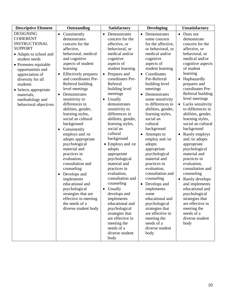| <b>Descriptive Element</b>                                                                                                                                                                                                                                                                                   | Outstanding                                                                                                                                                                                                                                                                                                                                                                                                                                                                                                                                                                                                                                                                                                                                                    | <b>Satisfactory</b>                                                                                                                                                                                                                                                                                                                                                                                                                                                                                                                                                                                                                                                                                                             | <b>Developing</b>                                                                                                                                                                                                                                                                                                                                                                                                                                                                                                                                                                                                                                                                                 | Unsatisfactory                                                                                                                                                                                                                                                                                                                                                                                                                                                                                                                                                                                                                                                                                                                                    |
|--------------------------------------------------------------------------------------------------------------------------------------------------------------------------------------------------------------------------------------------------------------------------------------------------------------|----------------------------------------------------------------------------------------------------------------------------------------------------------------------------------------------------------------------------------------------------------------------------------------------------------------------------------------------------------------------------------------------------------------------------------------------------------------------------------------------------------------------------------------------------------------------------------------------------------------------------------------------------------------------------------------------------------------------------------------------------------------|---------------------------------------------------------------------------------------------------------------------------------------------------------------------------------------------------------------------------------------------------------------------------------------------------------------------------------------------------------------------------------------------------------------------------------------------------------------------------------------------------------------------------------------------------------------------------------------------------------------------------------------------------------------------------------------------------------------------------------|---------------------------------------------------------------------------------------------------------------------------------------------------------------------------------------------------------------------------------------------------------------------------------------------------------------------------------------------------------------------------------------------------------------------------------------------------------------------------------------------------------------------------------------------------------------------------------------------------------------------------------------------------------------------------------------------------|---------------------------------------------------------------------------------------------------------------------------------------------------------------------------------------------------------------------------------------------------------------------------------------------------------------------------------------------------------------------------------------------------------------------------------------------------------------------------------------------------------------------------------------------------------------------------------------------------------------------------------------------------------------------------------------------------------------------------------------------------|
| <b>DESIGNING</b><br><b>COHERENT</b><br><b>INSTRUCTIONAL</b><br><b>SUPPORT</b><br>• Adapts to school and<br>student needs<br>• Promotes equitable<br>opportunities and<br>appreciation of<br>diversity for all<br>students<br>• Selects appropriate<br>materials,<br>methodology and<br>behavioral objectives | Consistently<br>$\bullet$<br>demonstrates<br>concern for the<br>affective,<br>behavioral, medical<br>and cognitive<br>aspects of student<br>learning<br><b>Effectively</b> prepares<br>$\bullet$<br>and coordinates Pre-<br>Referral building<br>level meetings<br>Demonstrates<br>$\bullet$<br>sensitivity to<br>differences in<br>abilities, gender,<br>learning styles,<br>social an cultural<br>background<br>Consistently<br>$\bullet$<br>employs and /or<br>adopts appropriate<br>psychological<br>material and<br>practices in<br>evaluation,<br>consultation and<br>counseling<br>Develops and<br>$\bullet$<br>implements<br>educational and<br>psychological<br>strategies that are<br>effective in meeting<br>the needs of a<br>diverse student body | Demonstrates<br>$\bullet$<br>concern for the<br>affective, or<br>behavioral, or<br>medical and/or<br>cognitive<br>aspects of<br>student learning<br>Prepares and<br>coordinates Pre-<br>Referral<br>building level<br>meetings<br>Usually<br>demonstrates<br>sensitivity to<br>differences in<br>abilities, gender,<br>learning styles,<br>social an<br>cultural<br>background<br>$\bullet$ Employs and /or<br>adopts<br>appropriate<br>psychological<br>material and<br>practices in<br>evaluation,<br>consultation and<br>counseling<br>Usually<br>$\bullet$<br>develops and<br>implements<br>educational and<br>psychological<br>strategies that<br>are effective in<br>meeting the<br>needs of a<br>diverse student<br>body | Demonstrates<br>some concern<br>for the affective,<br>or behavioral, or<br>medical and/or<br>cognitive<br>aspects of<br>student learning<br>Coordinates<br>Pre-Referral<br>building level<br>meetings<br>Demonstrates<br>some sensitivity<br>to differences in<br>abilities, gender,<br>learning styles,<br>social an<br>cultural<br>background<br>Attempts to<br>employ and /or<br>adopts<br>appropriate<br>psychological<br>material and<br>practices in<br>evaluation,<br>consultation and<br>counseling<br>Develops and<br>$\bullet$<br>implements<br>some<br>educational and<br>psychological<br>strategies that<br>are effective in<br>meeting the<br>needs of a<br>diverse student<br>body | Does not<br>$\bullet$<br>demonstrate<br>concern for the<br>affective, or<br>behavioral, or<br>medical and/or<br>cognitive aspects<br>of student<br>learning<br>Haphazardly<br>$\bullet$<br>prepares and<br>coordinates Pre-<br>Referral building<br>level meetings<br>Lacks sensitivity<br>$\bullet$<br>to differences in<br>abilities, gender,<br>learning styles,<br>social an cultural<br>background<br>Rarely employs<br>and /or adopts<br>appropriate<br>psychological<br>material and<br>practices in<br>evaluation,<br>consultation and<br>counseling<br>Rarely develops<br>$\bullet$<br>and implements<br>educational and<br>psychological<br>strategies that<br>are effective in<br>meeting the<br>needs of a<br>diverse student<br>body |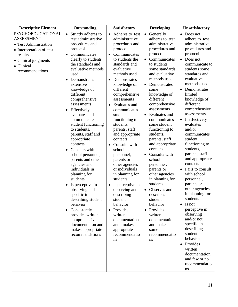| <b>Descriptive Element</b>                                                                                                                                             | Outstanding                                                                                                                                                                                                                                                                                                                                                                                                                                                                                                                                                                                                                                                                                                                                                                                 | <b>Satisfactory</b>                                                                                                                                                                                                                                                                                                                                                                                                                                                                                                                                                                                                                                                                                                          | <b>Developing</b>                                                                                                                                                                                                                                                                                                                                                                                                                                                                                                                                                                                                                                                              | <b>Unsatisfactory</b>                                                                                                                                                                                                                                                                                                                                                                                                                                                                                                                                                                                                                                                                                                                                                      |
|------------------------------------------------------------------------------------------------------------------------------------------------------------------------|---------------------------------------------------------------------------------------------------------------------------------------------------------------------------------------------------------------------------------------------------------------------------------------------------------------------------------------------------------------------------------------------------------------------------------------------------------------------------------------------------------------------------------------------------------------------------------------------------------------------------------------------------------------------------------------------------------------------------------------------------------------------------------------------|------------------------------------------------------------------------------------------------------------------------------------------------------------------------------------------------------------------------------------------------------------------------------------------------------------------------------------------------------------------------------------------------------------------------------------------------------------------------------------------------------------------------------------------------------------------------------------------------------------------------------------------------------------------------------------------------------------------------------|--------------------------------------------------------------------------------------------------------------------------------------------------------------------------------------------------------------------------------------------------------------------------------------------------------------------------------------------------------------------------------------------------------------------------------------------------------------------------------------------------------------------------------------------------------------------------------------------------------------------------------------------------------------------------------|----------------------------------------------------------------------------------------------------------------------------------------------------------------------------------------------------------------------------------------------------------------------------------------------------------------------------------------------------------------------------------------------------------------------------------------------------------------------------------------------------------------------------------------------------------------------------------------------------------------------------------------------------------------------------------------------------------------------------------------------------------------------------|
| <b>PSYCHOEDUCATIONAL</b><br><b>ASSESSMENT</b><br>• Test Administration<br>• Interpretation of test<br>results<br>• Clinical judgments<br>• Clinical<br>recommendations | Strictly adheres to<br>$\bullet$<br>test administrative<br>procedures and<br>protocol<br>Communicates<br>clearly to students<br>the standards and<br>evaluative methods<br>used<br>Demonstrates<br>$\bullet$<br>extensive<br>knowledge of<br>different<br>comprehensive<br>assessments<br>Effectively<br>$\bullet$<br>evaluates and<br>communicates<br>student functioning<br>to students,<br>parents, staff and<br>appropriate<br>contacts<br>Consults with<br>$\bullet$<br>school personnel,<br>parents and other<br>agencies and<br>individuals in<br>planning for<br>students<br>Is perceptive in<br>observing and<br>specific in<br>describing student<br>behavior<br>• Consistently<br>provides written<br>comprehensive<br>documentation and<br>makes appropriate<br>recommendations | Adheres to test<br>$\bullet$<br>administrative<br>procedures and<br>protocol<br>• Communicates<br>to students the<br>standards and<br>evaluative<br>methods used<br>Demonstrates<br>$\bullet$<br>knowledge of<br>different<br>comprehensive<br>assessments<br>Evaluates and<br>$\bullet$<br>communicates<br>student<br>functioning to<br>students,<br>parents, staff<br>and appropriate<br>contacts<br>Consults with<br>$\bullet$<br>school<br>personnel,<br>parents or<br>other agencies<br>or individuals<br>in planning for<br>students<br>Is perceptive in<br>observing and<br>describing<br>student<br>behavior<br>Provides<br>$\bullet$<br>written<br>documentation<br>and makes<br>appropriate<br>recommendatio<br>ns | Generally<br>$\bullet$<br>adheres to test<br>administrative<br>procedures and<br>protocol<br>Communicates<br>to students<br>some standards<br>and evaluative<br>methods used<br>Demonstrates<br>$\bullet$<br>some<br>knowledge of<br>different<br>comprehensive<br>assessments<br>Evaluates and<br>$\bullet$<br>communicates<br>some student<br>functioning to<br>students,<br>parents, staff<br>and appropriate<br>contacts<br>Consults with<br>school<br>personnel,<br>parents or<br>other agencies<br>in planning for<br>students<br>Observes and<br>describes<br>student<br>behavior<br>• Provides<br>written<br>documentation<br>and makes<br>some<br>recommendatio<br>ns | Does not<br>$\bullet$<br>adhere to test<br>administrative<br>procedures and<br>protocol<br>• Does not<br>communicate to<br>students some<br>standards and<br>evaluative<br>methods used<br>Demonstrates<br>$\bullet$<br>limited<br>knowledge of<br>different<br>comprehensive<br>assessments<br>• Ineffectively<br>evaluates<br>and/or<br>communicates<br>student<br>functioning to<br>students,<br>parents, staff<br>and appropriate<br>contacts<br>Fails to consult<br>with school<br>personnel,<br>parents or<br>other agencies<br>in planning for<br>students<br>Is not<br>$\bullet$<br>perceptive in<br>observing<br>and/or not<br>specific in<br>describing<br>student<br>behavior<br>• Provides<br>written<br>documentation<br>and few or no<br>recommendatio<br>ns |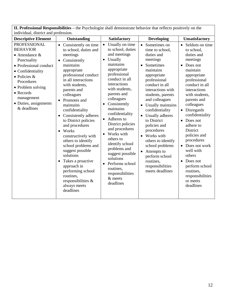**II. Professional Responsibilities –** the Psychologist shall demonstrate behavior that reflects positively on the individual, district and profession.

| marviaaan, andriet and profession.                                                                                                                                                                                                                                                                                       |                                                                                                                                                                                                                                                                                                                                                                                                                                                                                                           |                                                                                                                                                                                                                                                                                                                                                                                                                                                                                |                                                                                                                                                                                                                                                                                                                                                                                                                                                                                             |                                                                                                                                                                                                                                                                                                                                                                                                                              |
|--------------------------------------------------------------------------------------------------------------------------------------------------------------------------------------------------------------------------------------------------------------------------------------------------------------------------|-----------------------------------------------------------------------------------------------------------------------------------------------------------------------------------------------------------------------------------------------------------------------------------------------------------------------------------------------------------------------------------------------------------------------------------------------------------------------------------------------------------|--------------------------------------------------------------------------------------------------------------------------------------------------------------------------------------------------------------------------------------------------------------------------------------------------------------------------------------------------------------------------------------------------------------------------------------------------------------------------------|---------------------------------------------------------------------------------------------------------------------------------------------------------------------------------------------------------------------------------------------------------------------------------------------------------------------------------------------------------------------------------------------------------------------------------------------------------------------------------------------|------------------------------------------------------------------------------------------------------------------------------------------------------------------------------------------------------------------------------------------------------------------------------------------------------------------------------------------------------------------------------------------------------------------------------|
| <b>Descriptive Element</b>                                                                                                                                                                                                                                                                                               | Outstanding                                                                                                                                                                                                                                                                                                                                                                                                                                                                                               | Satisfactory                                                                                                                                                                                                                                                                                                                                                                                                                                                                   | <b>Developing</b>                                                                                                                                                                                                                                                                                                                                                                                                                                                                           | <b>Unsatisfactory</b>                                                                                                                                                                                                                                                                                                                                                                                                        |
| <b>PROFESSIONAL</b><br>$\bullet$<br><b>BEHAVIOR</b><br>$\bullet$ Attendance &<br>Punctuality<br>• Professional conduct<br>• Confidentiality<br>$\bullet$ Policies &<br>Procedures<br>• Problem solving<br>$\bullet$ Records<br>management<br>• Duties, assignments<br>& deadlines<br>$\bullet$<br>$\bullet$<br>$\bullet$ | Consistently on time<br>to school, duties and<br>meetings<br>Consistently<br>maintains<br>appropriate<br>professional conduct<br>in all interactions<br>with students,<br>parents and<br>colleagues<br>Promotes and<br>maintains<br>confidentiality<br>Consistently adheres<br>to District policies<br>and procedures<br>Works<br>constructively with<br>others to identify<br>school problems and<br>suggest possible<br>solutions<br>Takes a proactive<br>approach in<br>performing school<br>routines, | Usually on time<br>to school, duties<br>and meetings<br>Usually<br>maintains<br>appropriate<br>professional<br>conduct in all<br>interactions<br>with students,<br>parents and<br>colleagues<br>Consistently<br>maintains<br>confidentiality<br>Adheres to<br>$\bullet$<br>District policies<br>and procedures<br>Works with<br>others to<br>identify school<br>problems and<br>suggest possible<br>solutions<br>Performs school<br>routines,<br>responsibilities<br>$&$ meets | Sometimes on<br>$\bullet$<br>time to school.<br>duties and<br>meetings<br>Sometimes<br>maintains<br>appropriate<br>professional<br>conduct in all<br>interactions with<br>students, parents<br>and colleagues<br>Usually maintains<br>$\bullet$<br>confidentiality<br>Usually adheres<br>to District<br>policies and<br>procedures<br>Works with<br>$\bullet$<br>others to identify<br>school problems<br>Attempts to<br>perform school<br>routines,<br>responsibilities<br>meets deadlines | • Seldom on time<br>to school.<br>duties and<br>meetings<br>Does not<br>maintain<br>appropriate<br>professional<br>conduct in all<br>interactions<br>with students,<br>parents and<br>colleagues<br>• Disregards<br>confidentiality<br>Does not<br>adhere to<br>District<br>policies and<br>procedures<br>• Does not work<br>well with<br>others<br>Does not<br>$\bullet$<br>perform school<br>routines,<br>responsibilities |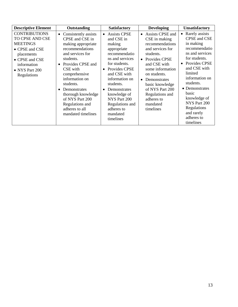| <b>Descriptive Element</b>                                                                                                                                   | Outstanding                                                                                                                                                                                                                                                                                                                                                   | <b>Satisfactory</b>                                                                                                                                                                                                                                                                                 | <b>Developing</b>                                                                                                                                                                                                                                                                | <b>Unsatisfactory</b>                                                                                                                                                                                                                                                                                                    |
|--------------------------------------------------------------------------------------------------------------------------------------------------------------|---------------------------------------------------------------------------------------------------------------------------------------------------------------------------------------------------------------------------------------------------------------------------------------------------------------------------------------------------------------|-----------------------------------------------------------------------------------------------------------------------------------------------------------------------------------------------------------------------------------------------------------------------------------------------------|----------------------------------------------------------------------------------------------------------------------------------------------------------------------------------------------------------------------------------------------------------------------------------|--------------------------------------------------------------------------------------------------------------------------------------------------------------------------------------------------------------------------------------------------------------------------------------------------------------------------|
| <b>CONTRIBUTIONS</b><br>TO CPSE AND CSE<br><b>MEETINGS</b><br>• CPSE and CSE<br>placements<br>• CPSE and CSE<br>information<br>• NYS Part 200<br>Regulations | Consistently assists<br>$\bullet$<br>CPSE and CSE in<br>making appropriate<br>recommendations<br>and services for<br>students.<br>Provides CPSE and<br>$\bullet$<br>CSE with<br>comprehensive<br>information on<br>students.<br>Demonstrates<br>$\bullet$<br>thorough knowledge<br>of NYS Part 200<br>Regulations and<br>adheres to all<br>mandated timelines | • Assists CPSE<br>and CSE in<br>making<br>appropriate<br>recommendatio<br>ns and services<br>for students.<br>• Provides CPSE<br>and CSE with<br>information on<br>students.<br>Demonstrates<br>$\bullet$<br>knowledge of<br>NYS Part 200<br>Regulations and<br>adheres to<br>mandated<br>timelines | • Assists CPSE and<br>CSE in making<br>recommendations<br>and services for<br>students.<br>• Provides CPSE<br>and CSE with<br>some information<br>on students.<br>• Demonstrates<br>basic knowledge<br>of NYS Part 200<br>Regulations and<br>adheres to<br>mandated<br>timelines | Rarely assists<br>$\bullet$<br>CPSE and CSE<br>in making<br>recommendatio<br>ns and services<br>for students.<br>Provides CPSE<br>$\bullet$<br>and CSE with<br>limited<br>information on<br>students.<br>• Demonstrates<br>basic<br>knowledge of<br>NYS Part 200<br>Regulations<br>and rarely<br>adheres to<br>timelines |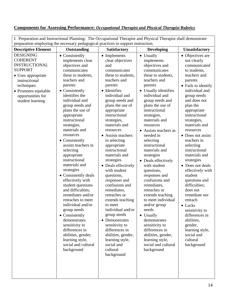#### **Components for Assessing Performance:** *Occupational Therapist and Physical Therapist* **Rubrics**

I. Preparation and Instructional Planning: The Occupational Therapist and Physical Therapist shall demonstrate preparation employing the necessary pedagogical practices to support instruction. **Descriptive Element Outstanding Satisfactory Developing Unsatisfactory** DESIGNING COHERENT INSTRUCTIONAL SUPPORT • Uses appropriate instructional techniques • Promotes equitable opportunities for student learning • Consistently implements clear objectives and communicates these to students, teachers and parents • Consistently identifies the individual and group needs and plans the use of appropriate instructional strategies, materials and resources • Consistently assists teachers in selecting appropriate instructional • Implements clear objectives and communicates these to students, teachers and parents • Identifies individual and group needs and plans the use of appropriate instructional strategies, materials and resources • Assists teachers in selecting appropriate instructional materials and strategies • Usually implements objectives and communicates these to students, teachers and parents • Usually identifies individual and group needs and plans the use of instructional strategies, materials and resources Assists teachers as needed in selecting instructional materials and strategies  $\bullet$  Deals effectively • Objectives are not clearly communicated to students, teachers and parents • Fails to identify individual and group needs and does not plan the appropriate instructional strategies, materials and resources • Does not assist teachers in selecting instructional materials and

> • Deals effectively with student questions, responses and confusions and remediates, reteaches or extends teaching

> > to meet

individual and/or group needs • Demonstrates sensitivity to differences in abilities, gender, learning style, social and cultural background

materials and strategies

• Consistently deals effectively with student questions and difficulties; remediates and/or reteaches to meet individual and/or group needs • Consistently demonstrates sensitivity to differences in abilities, gender, learning style, social and cultural background

| Deals effectively  | strategies       |
|--------------------|------------------|
| with student       | • Does not deals |
| questions,         | effectively with |
| responses and      | student          |
| confusions and     | questions and    |
| remediates,        | difficulties;    |
| reteaches or       | does not         |
| extends teaching   | remediate nor    |
| to meet individual | reteach          |
| and/or group       | $\bullet$ Lacks  |

needs • Usually

> demonstrates sensitivity to differences in abilities, gender, learning style, social and cultural background

| $\bullet$ Lacks |
|-----------------|
|                 |
|                 |
|                 |
|                 |
|                 |
|                 |
|                 |
|                 |
|                 |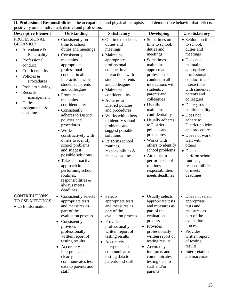| II. Professional Responsibilities – the occupational and physical therapists shall demonstrate behavior that reflects<br>positively on the individual, district and profession.                                                                                                                                                 |                                                                                                                                                                                                                                                                                                                                                                                                                                                                                                                                                                                     |                                                                                                                                                                                                                                                                                                                                                                                                                                             |                                                                                                                                                                                                                                                                                                                                                                                                                                                                        |                                                                                                                                                                                                                                                                                                                                                                                                                                             |  |
|---------------------------------------------------------------------------------------------------------------------------------------------------------------------------------------------------------------------------------------------------------------------------------------------------------------------------------|-------------------------------------------------------------------------------------------------------------------------------------------------------------------------------------------------------------------------------------------------------------------------------------------------------------------------------------------------------------------------------------------------------------------------------------------------------------------------------------------------------------------------------------------------------------------------------------|---------------------------------------------------------------------------------------------------------------------------------------------------------------------------------------------------------------------------------------------------------------------------------------------------------------------------------------------------------------------------------------------------------------------------------------------|------------------------------------------------------------------------------------------------------------------------------------------------------------------------------------------------------------------------------------------------------------------------------------------------------------------------------------------------------------------------------------------------------------------------------------------------------------------------|---------------------------------------------------------------------------------------------------------------------------------------------------------------------------------------------------------------------------------------------------------------------------------------------------------------------------------------------------------------------------------------------------------------------------------------------|--|
| <b>Descriptive Element</b>                                                                                                                                                                                                                                                                                                      | Outstanding                                                                                                                                                                                                                                                                                                                                                                                                                                                                                                                                                                         | Satisfactory                                                                                                                                                                                                                                                                                                                                                                                                                                | <b>Developing</b>                                                                                                                                                                                                                                                                                                                                                                                                                                                      | Unsatisfactory                                                                                                                                                                                                                                                                                                                                                                                                                              |  |
| <b>PROFESSIONAL</b><br><b>BEHAVIOR</b><br>Attendance &<br>$\bullet$<br>Punctuality<br>Professional<br>$\bullet$<br>conduct<br>Confidentiality<br>$\bullet$<br>Policies &<br>$\bullet$<br>Procedures<br>Problem solving<br>$\bullet$<br>Records<br>$\bullet$<br>management<br>Duties,<br>$\bullet$<br>assignments &<br>deadlines | • Consistently on<br>time to school,<br>duties and meetings<br>• Consistently<br>maintains<br>appropriate<br>professional<br>conduct in all<br>interactions with<br>students, parents<br>and colleagues<br>• Promotes and<br>maintains<br>confidentiality<br>• Consistently<br>adheres to District<br>policies and<br>procedures<br>$\bullet$ Works<br>constructively with<br>others to identify<br>school problems<br>and suggest<br>possible solutions<br>• Takes a proactive<br>approach in<br>performing school<br>routines,<br>responsibilities &<br>always meets<br>deadlines | • On time to school,<br>duties and<br>meetings<br>• Maintains<br>appropriate<br>professional<br>conduct in all<br>interactions with<br>students, parents<br>and colleagues<br>• Maintains<br>confidentiality<br>• Adheres to<br>District policies<br>and procedures<br>• Works with others<br>to identify school<br>problems and<br>suggest possible<br>solutions<br>• Performs school<br>routines,<br>responsibilities &<br>meets deadline | • Sometimes on<br>time to school,<br>duties and<br>meetings<br>• Sometimes<br>maintains<br>appropriate<br>professional<br>conduct in all<br>interactions with<br>students,<br>parents and<br>colleagues<br>• Usually<br>maintains<br>confidentiality<br>• Usually adheres<br>to District<br>policies and<br>procedures<br>• Works with<br>others to identify<br>school problems<br>• Attempts to<br>perform school<br>routines,<br>responsibilities<br>meets deadlines | • Seldom on time<br>to school,<br>duties and<br>meetings<br>• Does not<br>maintain<br>appropriate<br>professional<br>conduct in all<br>interactions<br>with students,<br>parents and<br>colleagues<br>• Disregards<br>confidentiality<br>• Does not<br>adhere to<br>District policies<br>and procedures<br>• Does not work<br>well with<br>others<br>• Does not<br>perform school<br>routines,<br>responsibilities<br>or meets<br>deadlines |  |
| <b>CONTRIBUTIONS</b><br>TO CSE MEETINGS<br>• CSE information                                                                                                                                                                                                                                                                    | Consistently selects<br>appropriate tests<br>and measures as<br>part of the<br>evaluation process<br>Consistently<br>$\bullet$<br>provides<br>professionally<br>written report of<br>testing results<br>Accurately<br>$\bullet$<br>interprets and<br>clearly<br>communicates test<br>data to parents and<br>staff                                                                                                                                                                                                                                                                   | Selects<br>$\bullet$<br>appropriate tests<br>and measures as<br>part of the<br>evaluation process<br>Provides<br>$\bullet$<br>professionally<br>written report of<br>testing results<br>Accurately<br>$\bullet$<br>interprets and<br>communicates<br>testing data to<br>parents and staff                                                                                                                                                   | <b>Usually selects</b><br>appropriate tests<br>and measures as<br>part of the<br>evaluation<br>process<br>Provides<br>$\bullet$<br>professionally<br>written report of<br>testing results<br>Accurately<br>$\bullet$<br>interprets and<br>communicates<br>testing data to<br>staff and/or<br>parents                                                                                                                                                                   | Does not select<br>appropriate<br>tests and<br>measures as<br>part of the<br>evaluation<br>process<br>• Provides<br>written report<br>of testing<br>results<br>Interpretations<br>$\bullet$<br>are inaccurate                                                                                                                                                                                                                               |  |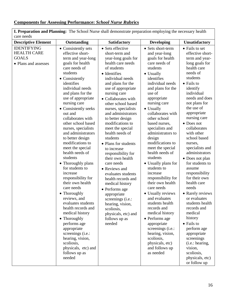### **Components for Assessing Performance:** *School Nurse R***ubrics**

| I. Preparation and Planning: The School Nurse shall demonstrate preparation employing the necessary health<br>care needs |                                                                                                                                                                                                                                                                                                                                                                                                                                                                                                                                                                                                                                                                                                                                                                                                                         |                                                                                                                                                                                                                                                                                                                                                                                                                                                                                                                                                                                                                                                                                                            |                                                                                                                                                                                                                                                                                                                                                                                                                                                                                                                                                                                                                                                                                                                                             |                                                                                                                                                                                                                                                                                                                                                                                                                                                                                                                                                                                                                                                                                                   |  |
|--------------------------------------------------------------------------------------------------------------------------|-------------------------------------------------------------------------------------------------------------------------------------------------------------------------------------------------------------------------------------------------------------------------------------------------------------------------------------------------------------------------------------------------------------------------------------------------------------------------------------------------------------------------------------------------------------------------------------------------------------------------------------------------------------------------------------------------------------------------------------------------------------------------------------------------------------------------|------------------------------------------------------------------------------------------------------------------------------------------------------------------------------------------------------------------------------------------------------------------------------------------------------------------------------------------------------------------------------------------------------------------------------------------------------------------------------------------------------------------------------------------------------------------------------------------------------------------------------------------------------------------------------------------------------------|---------------------------------------------------------------------------------------------------------------------------------------------------------------------------------------------------------------------------------------------------------------------------------------------------------------------------------------------------------------------------------------------------------------------------------------------------------------------------------------------------------------------------------------------------------------------------------------------------------------------------------------------------------------------------------------------------------------------------------------------|---------------------------------------------------------------------------------------------------------------------------------------------------------------------------------------------------------------------------------------------------------------------------------------------------------------------------------------------------------------------------------------------------------------------------------------------------------------------------------------------------------------------------------------------------------------------------------------------------------------------------------------------------------------------------------------------------|--|
| <b>Descriptive Element</b>                                                                                               | Outstanding                                                                                                                                                                                                                                                                                                                                                                                                                                                                                                                                                                                                                                                                                                                                                                                                             | Satisfactory                                                                                                                                                                                                                                                                                                                                                                                                                                                                                                                                                                                                                                                                                               | <b>Developing</b>                                                                                                                                                                                                                                                                                                                                                                                                                                                                                                                                                                                                                                                                                                                           | <b>Unsatisfactory</b>                                                                                                                                                                                                                                                                                                                                                                                                                                                                                                                                                                                                                                                                             |  |
| <b>IDENTIFYING</b><br><b>HEALTH CARE</b><br><b>GOALS</b><br>• Plans and assesses                                         | • Consistently sets<br>effective short-<br>term and year-long<br>goals for health<br>care needs of<br>students<br>• Consistently<br>identifies<br>individual needs<br>and plans for the<br>use of appropriate<br>nursing care<br>• Consistently seeks<br>out and<br>collaborates with<br>other school based<br>nurses, specialists<br>and administrators<br>to better design<br>modifications to<br>meet the special<br>health needs of<br>students<br>• Thoroughly plans<br>for students to<br>increase<br>responsibility for<br>their own health<br>care needs<br>• Thoroughly<br>reviews, and<br>evaluates students<br>health records and<br>medical history<br>• Thoroughly<br>performs age<br>appropriate<br>screenings (i.e.:<br>hearing, vision,<br>scoliosis,<br>physicals, etc) and<br>follows up as<br>needed | • Sets effective<br>short-term and<br>year-long goals for<br>health care needs<br>of students<br>• Identifies<br>individual needs<br>and plans for the<br>use of appropriate<br>nursing care<br>• Collaborates with<br>other school based<br>nurses, specialists<br>and administrators<br>to better design<br>modifications to<br>meet the special<br>health needs of<br>students<br>• Plans for students<br>to increase<br>responsibility for<br>their own health<br>care needs<br>• Reviews and<br>evaluates students<br>health records and<br>medical history<br>• Performs age<br>appropriate<br>screenings (i.e.:<br>hearing, vision,<br>scoliosis,<br>physicals, etc) and<br>follows up as<br>needed | • Sets short-term<br>and year-long<br>goals for health<br>care needs of<br>students<br>• Usually<br>identifies<br>individual needs<br>and plans for the<br>use of<br>appropriate<br>nursing care<br>• Usually<br>collaborates with<br>other school<br>based nurses,<br>specialists and<br>administrators to<br>design<br>modifications to<br>meet the special<br>health needs of<br>students<br>• Usually plans for<br>students to<br>increase<br>responsibility for<br>their own health<br>care needs<br>• Usually reviews<br>and evaluates<br>students health<br>records and<br>medical history<br>• Performs age<br>appropriate<br>screenings (i.e.:<br>hearing, vision,<br>scoliosis,<br>physicals, etc)<br>and follows up<br>as needed | • Fails to set<br>effective short-<br>term and year-<br>long goals for<br>health care<br>needs of<br>students<br>• Fails to<br>identify<br>individual<br>needs and does<br>not plans for<br>the use of<br>appropriate<br>nursing care<br>• Does not<br>collaborates<br>with other<br>school based<br>nurses,<br>specialists and<br>administrators<br>• Does not plan<br>for students to<br>assume<br>responsibility<br>for their own<br>health care<br>needs<br>• Rarely reviews<br>or evaluates<br>students health<br>records and<br>medical<br>history<br>• Fails to<br>perform age<br>appropriate<br>screenings<br>(i.e.: hearing,<br>vision,<br>scoliosis,<br>physicals, etc)<br>or follow up |  |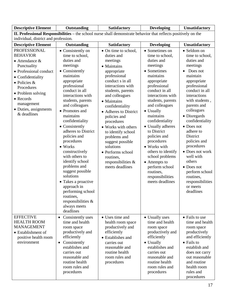| <b>Descriptive Element</b>                                                                                                                                                                                                                                   | Outstanding                                                                                                                                                                                                                                                                                                                                                                                                                                                                                                                                                                                  | Satisfactory                                                                                                                                                                                                                                                                                                                                                                                                                                   | <b>Developing</b>                                                                                                                                                                                                                                                                                                                                                                                                                                                   | Unsatisfactory                                                                                                                                                                                                                                                                                                                                                                                                                               |
|--------------------------------------------------------------------------------------------------------------------------------------------------------------------------------------------------------------------------------------------------------------|----------------------------------------------------------------------------------------------------------------------------------------------------------------------------------------------------------------------------------------------------------------------------------------------------------------------------------------------------------------------------------------------------------------------------------------------------------------------------------------------------------------------------------------------------------------------------------------------|------------------------------------------------------------------------------------------------------------------------------------------------------------------------------------------------------------------------------------------------------------------------------------------------------------------------------------------------------------------------------------------------------------------------------------------------|---------------------------------------------------------------------------------------------------------------------------------------------------------------------------------------------------------------------------------------------------------------------------------------------------------------------------------------------------------------------------------------------------------------------------------------------------------------------|----------------------------------------------------------------------------------------------------------------------------------------------------------------------------------------------------------------------------------------------------------------------------------------------------------------------------------------------------------------------------------------------------------------------------------------------|
|                                                                                                                                                                                                                                                              |                                                                                                                                                                                                                                                                                                                                                                                                                                                                                                                                                                                              | <b>II. Professional Responsibilities</b> – the school nurse shall demonstrate behavior that reflects positively on the                                                                                                                                                                                                                                                                                                                         |                                                                                                                                                                                                                                                                                                                                                                                                                                                                     |                                                                                                                                                                                                                                                                                                                                                                                                                                              |
| individual, district and profession.                                                                                                                                                                                                                         |                                                                                                                                                                                                                                                                                                                                                                                                                                                                                                                                                                                              |                                                                                                                                                                                                                                                                                                                                                                                                                                                |                                                                                                                                                                                                                                                                                                                                                                                                                                                                     |                                                                                                                                                                                                                                                                                                                                                                                                                                              |
| <b>Descriptive Element</b>                                                                                                                                                                                                                                   | Outstanding                                                                                                                                                                                                                                                                                                                                                                                                                                                                                                                                                                                  | <b>Satisfactory</b>                                                                                                                                                                                                                                                                                                                                                                                                                            | <b>Developing</b>                                                                                                                                                                                                                                                                                                                                                                                                                                                   | Unsatisfactory                                                                                                                                                                                                                                                                                                                                                                                                                               |
| <b>PROFESSIONAL</b><br><b>BEHAVIOR</b><br>$\bullet$ Attendance &<br>Punctuality<br>• Professional conduct<br>• Confidentiality<br>$\bullet$ Policies &<br>Procedures<br>• Problem solving<br>• Records<br>management<br>• Duties, assignments<br>& deadlines | • Consistently on<br>time to school,<br>duties and<br>meetings<br>• Consistently<br>maintains<br>appropriate<br>professional<br>conduct in all<br>interactions with<br>students, parents<br>and colleagues<br>• Promotes and<br>maintains<br>confidentiality<br>• Consistently<br>adheres to District<br>policies and<br>procedures<br>$\bullet$ Works<br>constructively<br>with others to<br>identify school<br>problems and<br>suggest possible<br>solutions<br>• Takes a proactive<br>approach in<br>performing school<br>routines.<br>responsibilities $\&$<br>always meets<br>deadlines | • On time to school,<br>duties and<br>meetings<br>• Maintains<br>appropriate<br>professional<br>conduct s in all<br>interactions with<br>students, parents<br>and colleagues<br>• Maintains<br>confidentiality<br>• Adheres to District<br>policies and<br>procedures<br>• Works with others<br>to identify school<br>problems and<br>suggest possible<br>solutions<br>• Performs school<br>routines,<br>responsibilities &<br>meets deadlines | • Sometimes on<br>time to school,<br>duties and<br>meetings<br>• Sometimes<br>maintains<br>appropriate<br>professional<br>conduct in all<br>interactions with<br>students, parents<br>and colleagues<br>• Usually<br>maintains<br>confidentiality<br>• Usually adheres<br>to District<br>policies and<br>procedures<br>• Works with<br>others to identify<br>school problems<br>• Attempts to<br>perform school<br>routines,<br>responsibilities<br>meets deadlines | • Seldom on<br>time to school,<br>duties and<br>meetings<br>Does not<br>maintain<br>appropriate<br>professional<br>conduct in all<br>interactions<br>with students,<br>parents and<br>colleagues<br>• Disregards<br>confidentiality<br>• Does not<br>adhere to<br>District<br>policies and<br>procedures<br>• Does not work<br>well with<br>others<br>• Does not<br>perform school<br>routines,<br>responsibilities<br>or meets<br>deadlines |
| <b>EFFECTIVE</b><br><b>HEALTH ROOM</b><br><b>MANAGEMENT</b><br>• Establishment of<br>positive health room<br>environment                                                                                                                                     | Consistently uses<br>$\bullet$<br>time and health<br>room space<br>productively and<br>efficiently<br>Consistently<br>$\bullet$<br>establishes and<br>carries out<br>reasonable and<br>routine health<br>room rules and<br>procedures                                                                                                                                                                                                                                                                                                                                                        | • Uses time and<br>health room space<br>productively and<br>efficiently<br>• Establishes and<br>carries out<br>reasonable and<br>routine health<br>room rules and<br>procedures                                                                                                                                                                                                                                                                | • Usually uses<br>time and health<br>room space<br>productively and<br>efficiently<br>• Usually<br>establishes and<br>carries out<br>reasonable and<br>routine health<br>room rules and<br>procedures                                                                                                                                                                                                                                                               | • Fails to use<br>time and health<br>room space<br>productively<br>and efficiently<br>• Fails to<br>establish and<br>does not carry<br>out reasonable<br>and routine<br>health room<br>rules and<br>procedures                                                                                                                                                                                                                               |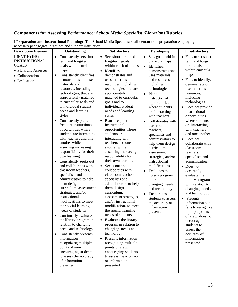| I Preparation and Instructional Planning: The School Media Specialist shall demonstrate preparation employing the<br>necessary pedagogical practices and support instruction |                                                                                                                                                                                                                                                                                                                                                                                                                                                                                                                                                                                                                                                                                                                                                                                                                                                                                                                                                                                                                                                                                                                                    |                                                                                                                                                                                                                                                                                                                                                                                                                                                                                                                                                                                                                                                                                                                                                                                                                                                                                                                                                                                                                                                                                           |                                                                                                                                                                                                                                                                                                                                                                                                                                                                                                                                                                                                                                                                                                     |                                                                                                                                                                                                                                                                                                                                                                                                                                                                                                                                                                                                                                                                                                                                                  |  |
|------------------------------------------------------------------------------------------------------------------------------------------------------------------------------|------------------------------------------------------------------------------------------------------------------------------------------------------------------------------------------------------------------------------------------------------------------------------------------------------------------------------------------------------------------------------------------------------------------------------------------------------------------------------------------------------------------------------------------------------------------------------------------------------------------------------------------------------------------------------------------------------------------------------------------------------------------------------------------------------------------------------------------------------------------------------------------------------------------------------------------------------------------------------------------------------------------------------------------------------------------------------------------------------------------------------------|-------------------------------------------------------------------------------------------------------------------------------------------------------------------------------------------------------------------------------------------------------------------------------------------------------------------------------------------------------------------------------------------------------------------------------------------------------------------------------------------------------------------------------------------------------------------------------------------------------------------------------------------------------------------------------------------------------------------------------------------------------------------------------------------------------------------------------------------------------------------------------------------------------------------------------------------------------------------------------------------------------------------------------------------------------------------------------------------|-----------------------------------------------------------------------------------------------------------------------------------------------------------------------------------------------------------------------------------------------------------------------------------------------------------------------------------------------------------------------------------------------------------------------------------------------------------------------------------------------------------------------------------------------------------------------------------------------------------------------------------------------------------------------------------------------------|--------------------------------------------------------------------------------------------------------------------------------------------------------------------------------------------------------------------------------------------------------------------------------------------------------------------------------------------------------------------------------------------------------------------------------------------------------------------------------------------------------------------------------------------------------------------------------------------------------------------------------------------------------------------------------------------------------------------------------------------------|--|
| <b>Descriptive Element</b>                                                                                                                                                   | Outstanding                                                                                                                                                                                                                                                                                                                                                                                                                                                                                                                                                                                                                                                                                                                                                                                                                                                                                                                                                                                                                                                                                                                        | Satisfactory                                                                                                                                                                                                                                                                                                                                                                                                                                                                                                                                                                                                                                                                                                                                                                                                                                                                                                                                                                                                                                                                              | <b>Developing</b>                                                                                                                                                                                                                                                                                                                                                                                                                                                                                                                                                                                                                                                                                   | Unsatisfactory                                                                                                                                                                                                                                                                                                                                                                                                                                                                                                                                                                                                                                                                                                                                   |  |
| <b>IDENTIFYING</b><br><b>INSTRUCTIONAL</b><br><b>GOALS</b><br>• Plans and Assesses<br>• Collaboration<br>• Evaluation                                                        | Consistently sets short-<br>$\bullet$<br>term and long-term<br>goals within curricula<br>maps<br>Consistently identifies,<br>$\bullet$<br>demonstrates and uses<br>materials and<br>resources, including<br>technologies, that are<br>appropriately matched<br>to curricular goals and<br>to individual student<br>needs and learning<br>styles<br>Consistently plans<br>frequent instructional<br>opportunities where<br>students are interacting<br>with teachers and one<br>another while<br>assuming increasing<br>responsibility for their<br>own learning<br>Consistently seeks out<br>$\bullet$<br>and collaborates with<br>classroom teachers,<br>specialists and<br>administrators to help<br>them design<br>curriculum, assessment<br>strategies, and/or<br>instructional<br>modifications to meet<br>the special learning<br>needs of students<br>Continually evaluates<br>the library program in<br>relation to changing<br>needs and technology<br>• Consistently presents<br>information<br>recognizing multiple<br>points of view;<br>encouraging students<br>to assess the accuracy<br>of information<br>presented | Sets short-term and<br>$\bullet$<br>long-term goals<br>within curricula maps<br>Identifies,<br>$\bullet$<br>demonstrates and<br>uses materials and<br>resources, including<br>technologies, that are<br>appropriately<br>matched to curricular<br>goals and to<br>individual student<br>needs and learning<br>styles<br>Plans frequent<br>$\bullet$<br>instructional<br>opportunities where<br>students are<br>interacting with<br>teachers and one<br>another while<br>assuming increasing<br>responsibility for<br>their own learning<br>Seeks out and<br>$\bullet$<br>collaborates with<br>classroom teachers,<br>specialists and<br>administrators to help<br>them design<br>curriculum,<br>assessment strategies,<br>and/or instructional<br>modifications to meet<br>the special learning<br>needs of students<br>Evaluates the library<br>$\bullet$<br>program in relation to<br>changing needs and<br>technology<br>Presents information<br>$\bullet$<br>recognizing multiple<br>points of view;<br>encouraging students<br>to assess the accuracy<br>of information<br>presented | Sets goals within<br>$\bullet$<br>curricula maps<br>Identifies,<br>$\bullet$<br>demonstrates and<br>uses materials<br>and resources,<br>including<br>technologies<br>Plans<br>$\bullet$<br>instructional<br>opportunities<br>where students<br>are interacting<br>with teachers<br>Collaborates with<br>$\bullet$<br>classroom<br>teachers,<br>specialists and<br>administrators to<br>help them design<br>curriculum,<br>assessment<br>strategies, and/or<br>instructional<br>modifications<br>Evaluates the<br>$\bullet$<br>library program<br>in relation to<br>changing needs<br>and technology<br>Encourages<br>$\bullet$<br>students to assess<br>the accuracy of<br>information<br>presented | • Fails to set short-<br>term and long-<br>term goals<br>within curricula<br>maps<br>• Fails to identify,<br>demonstrate or<br>use materials and<br>resources,<br>including<br>technologies<br>• Does not provide<br>instructional<br>opportunities<br>where students<br>are interacting<br>with teachers<br>and one another<br>$\bullet$ Does not<br>collaborate with<br>classroom<br>teachers,<br>specialists and<br>administrators<br>• Does not<br>accurately<br>evaluate the<br>library program<br>with relation to<br>changing needs<br>and technology<br>• Presents<br>information but<br>fails to recognize<br>multiple points<br>of view; does not<br>encourage<br>students to<br>assess the<br>accuracy of<br>information<br>presented |  |

### **Components for Assessing Performance:** *School Media Specialist (Librarian)* **Rubrics**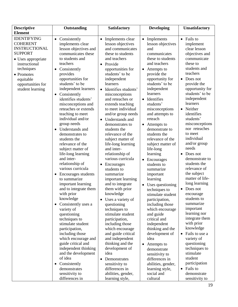| <b>Descriptive</b>                                                                                                                                                                                       | Outstanding                                                                                                                                                                                                                                                                                                                                                                                                                                                                                                                                                                                                                                                                                                                                                                                                                                                                                                                                                                                                 | <b>Satisfactory</b>                                                                                                                                                                                                                                                                                                                                                                                                                                                                                                                                                                                                                                                                                                                                                                                                                                                                                                                                                                     | <b>Developing</b>                                                                                                                                                                                                                                                                                                                                                                                                                                                                                                                                                                                                                                                                                                                                                                                                                                                             | <b>Unsatisfactory</b>                                                                                                                                                                                                                                                                                                                                                                                                                                                                                                                                                                                                                                                                                                                                                                               |
|----------------------------------------------------------------------------------------------------------------------------------------------------------------------------------------------------------|-------------------------------------------------------------------------------------------------------------------------------------------------------------------------------------------------------------------------------------------------------------------------------------------------------------------------------------------------------------------------------------------------------------------------------------------------------------------------------------------------------------------------------------------------------------------------------------------------------------------------------------------------------------------------------------------------------------------------------------------------------------------------------------------------------------------------------------------------------------------------------------------------------------------------------------------------------------------------------------------------------------|-----------------------------------------------------------------------------------------------------------------------------------------------------------------------------------------------------------------------------------------------------------------------------------------------------------------------------------------------------------------------------------------------------------------------------------------------------------------------------------------------------------------------------------------------------------------------------------------------------------------------------------------------------------------------------------------------------------------------------------------------------------------------------------------------------------------------------------------------------------------------------------------------------------------------------------------------------------------------------------------|-------------------------------------------------------------------------------------------------------------------------------------------------------------------------------------------------------------------------------------------------------------------------------------------------------------------------------------------------------------------------------------------------------------------------------------------------------------------------------------------------------------------------------------------------------------------------------------------------------------------------------------------------------------------------------------------------------------------------------------------------------------------------------------------------------------------------------------------------------------------------------|-----------------------------------------------------------------------------------------------------------------------------------------------------------------------------------------------------------------------------------------------------------------------------------------------------------------------------------------------------------------------------------------------------------------------------------------------------------------------------------------------------------------------------------------------------------------------------------------------------------------------------------------------------------------------------------------------------------------------------------------------------------------------------------------------------|
| <b>Element</b>                                                                                                                                                                                           |                                                                                                                                                                                                                                                                                                                                                                                                                                                                                                                                                                                                                                                                                                                                                                                                                                                                                                                                                                                                             |                                                                                                                                                                                                                                                                                                                                                                                                                                                                                                                                                                                                                                                                                                                                                                                                                                                                                                                                                                                         |                                                                                                                                                                                                                                                                                                                                                                                                                                                                                                                                                                                                                                                                                                                                                                                                                                                                               |                                                                                                                                                                                                                                                                                                                                                                                                                                                                                                                                                                                                                                                                                                                                                                                                     |
| <b>IDENTIFYING</b><br><b>COHERENT</b><br><b>INSTRUCTIONAL</b><br><b>SUPPORT</b><br>• Uses appropriate<br>instructional<br>techniques<br>• Promotes<br>equitable<br>opportunities for<br>student learning | Consistently<br>$\bullet$<br>implements clear<br>lesson objectives and<br>communicates these<br>to students and<br>teachers<br>• Consistently<br>provides<br>opportunities for<br>students' to be<br>independent learners<br>Consistently<br>$\bullet$<br>identifies students'<br>misconceptions and<br>reteaches or extends<br>teaching to meet<br>individual and/or<br>group needs<br>Understands and<br>demonstrates to<br>students the<br>relevance of the<br>subject matter of<br>life-long learning<br>and inter-<br>relationship of<br>various curricula<br>Encourages students<br>$\bullet$<br>to summarize<br>important learning<br>and to integrate them<br>with prior<br>knowledge<br>• Consistently uses a<br>variety of<br>questioning<br>techniques to<br>stimulate student<br>participation,<br>including those<br>which encourage and<br>guide critical and<br>independent thinking<br>and the development<br>of idea<br>• Consistently<br>demonstrates<br>sensitivity to<br>differences in | Implements clear<br>$\bullet$<br>lesson objectives<br>and communicates<br>these to students<br>and teachers<br>Provide<br>$\bullet$<br>opportunities for<br>students' to be<br>independent<br>learners<br>• Identifies students'<br>misconceptions<br>and reteaches or<br>extends teaching<br>to meet individual<br>and/or group needs<br>• Understands and<br>demonstrates to<br>students the<br>relevance of the<br>subject matter of<br>life-long learning<br>and inter-<br>relationship of<br>various curricula<br>Encourages<br>$\bullet$<br>students to<br>summarize<br>important learning<br>and to integrate<br>them with prior<br>knowledge<br>Uses a variety of<br>questioning<br>techniques to<br>stimulate student<br>participation,<br>including those<br>which encourage<br>and guide critical<br>and independent<br>thinking and the<br>development of<br>idea<br>Demonstrates<br>$\bullet$<br>sensitivity to<br>differences in<br>abilities, gender,<br>learning style, | Implements<br>$\bullet$<br>lesson objectives<br>and<br>communicates<br>these to students<br>and teachers<br>Attempts to<br>$\bullet$<br>provide the<br>opportunity for<br>students' to be<br>independent<br>learners<br>Identifies<br>$\bullet$<br>students'<br>misconceptions<br>and attempts to<br>reteach<br>Attempts to<br>demonstrate to<br>students the<br>relevance of the<br>subject matter of<br>life-long<br>learning<br>Encourages<br>students to<br>summarize<br>important<br>learning<br>Uses questioning<br>$\bullet$<br>techniques to<br>stimulate student<br>participation,<br>including those<br>which encourage<br>and guide<br>critical and<br>independent<br>thinking and the<br>development of<br>idea<br>Attempts to<br>$\bullet$<br>demonstrate<br>sensitivity to<br>differences in<br>abilities, gender,<br>learning style,<br>social and<br>cultural | • Fails to<br>implement<br>clear lesson<br>objectives and<br>communicate<br>these to<br>students and<br>teachers<br>Does not<br>$\bullet$<br>provide the<br>opportunity for<br>students' to be<br>independent<br>learners<br>Neither<br>$\bullet$<br>identifies<br>students'<br>misconceptions<br>nor reteaches<br>to meet<br>individual<br>and/or group<br>needs<br>Does not<br>demonstrate to<br>students the<br>relevance of<br>the subject<br>matter of life-<br>long learning<br>Does not<br>$\bullet$<br>encourage<br>students to<br>summarize<br>important<br>learning nor<br>integrate them<br>with prior<br>knowledge<br>Fails to use a<br>$\bullet$<br>variety of<br>questioning<br>techniques to<br>stimulate<br>student<br>participation<br>• Fails to<br>demonstrate<br>sensitivity to |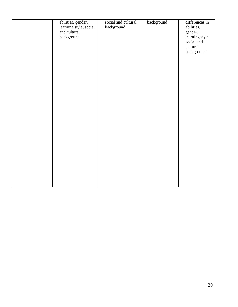| abilities, gender,         | social and cultural | background | differences in             |
|----------------------------|---------------------|------------|----------------------------|
| learning style, social     | background          |            | abilities,                 |
| and cultural<br>background |                     |            | gender,<br>learning style, |
|                            |                     |            | social and                 |
|                            |                     |            | cultural                   |
|                            |                     |            | background                 |
|                            |                     |            |                            |
|                            |                     |            |                            |
|                            |                     |            |                            |
|                            |                     |            |                            |
|                            |                     |            |                            |
|                            |                     |            |                            |
|                            |                     |            |                            |
|                            |                     |            |                            |
|                            |                     |            |                            |
|                            |                     |            |                            |
|                            |                     |            |                            |
|                            |                     |            |                            |
|                            |                     |            |                            |
|                            |                     |            |                            |
|                            |                     |            |                            |
|                            |                     |            |                            |
|                            |                     |            |                            |
|                            |                     |            |                            |
|                            |                     |            |                            |
|                            |                     |            |                            |
|                            |                     |            |                            |
|                            |                     |            |                            |
|                            |                     |            |                            |
|                            |                     |            |                            |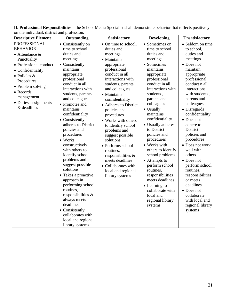| on the individual, district and profession.                                                                                                                                                                                                                  |                                                                                                                                                                                                                                                                                                                                                                                                                                                                                                                                                                                                                                                                         |                                                                                                                                                                                                                                                                                                                                                                                                                                                                                                              |                                                                                                                                                                                                                                                                                                                                                                                                                                                                                                                                                         |                                                                                                                                                                                                                                                                                                                                                                                                                                                                                                                             |  |
|--------------------------------------------------------------------------------------------------------------------------------------------------------------------------------------------------------------------------------------------------------------|-------------------------------------------------------------------------------------------------------------------------------------------------------------------------------------------------------------------------------------------------------------------------------------------------------------------------------------------------------------------------------------------------------------------------------------------------------------------------------------------------------------------------------------------------------------------------------------------------------------------------------------------------------------------------|--------------------------------------------------------------------------------------------------------------------------------------------------------------------------------------------------------------------------------------------------------------------------------------------------------------------------------------------------------------------------------------------------------------------------------------------------------------------------------------------------------------|---------------------------------------------------------------------------------------------------------------------------------------------------------------------------------------------------------------------------------------------------------------------------------------------------------------------------------------------------------------------------------------------------------------------------------------------------------------------------------------------------------------------------------------------------------|-----------------------------------------------------------------------------------------------------------------------------------------------------------------------------------------------------------------------------------------------------------------------------------------------------------------------------------------------------------------------------------------------------------------------------------------------------------------------------------------------------------------------------|--|
| <b>Descriptive Element</b>                                                                                                                                                                                                                                   | Outstanding                                                                                                                                                                                                                                                                                                                                                                                                                                                                                                                                                                                                                                                             | Satisfactory                                                                                                                                                                                                                                                                                                                                                                                                                                                                                                 | <b>Developing</b>                                                                                                                                                                                                                                                                                                                                                                                                                                                                                                                                       | Unsatisfactory                                                                                                                                                                                                                                                                                                                                                                                                                                                                                                              |  |
| <b>PROFESSIONAL</b><br><b>BEHAVIOR</b><br>$\bullet$ Attendance &<br>Punctuality<br>• Professional conduct<br>• Confidentiality<br>$\bullet$ Policies &<br>Procedures<br>• Problem solving<br>• Records<br>management<br>• Duties, assignments<br>& deadlines | • Consistently on<br>time to school,<br>duties and<br>meetings<br>• Consistently<br>maintains<br>appropriate<br>professional<br>conduct in all<br>interactions with<br>students, parents<br>and colleagues<br>• Promotes and<br>maintains<br>confidentiality<br>• Consistently<br>adheres to District<br>policies and<br>procedures<br>$\bullet$ Works<br>constructively<br>with others to<br>identify school<br>problems and<br>suggest possible<br>solutions<br>Takes a proactive<br>approach in<br>performing school<br>routines,<br>responsibilities &<br>always meets<br>deadlines<br>• Consistently<br>collaborates with<br>local and regional<br>library systems | • On time to school,<br>duties and<br>meetings<br>• Maintains<br>appropriate<br>professional<br>conduct in all<br>interactions with<br>students, parents<br>and colleagues<br>• Maintains<br>confidentiality<br>• Adheres to District<br>policies and<br>procedures<br>• Works with others<br>to identify school<br>problems and<br>suggest possible<br>solutions<br>• Performs school<br>routines,<br>responsibilities &<br>meets deadlines<br>• Collaborates with<br>local and regional<br>library systems | • Sometimes on<br>time to school,<br>duties and<br>meetings<br>• Sometimes<br>maintains<br>appropriate<br>professional<br>conduct in all<br>interactions with<br>students,<br>parents and<br>colleagues<br>• Usually<br>maintains<br>confidentiality<br>• Usually adheres<br>to District<br>policies and<br>procedures<br>• Works with<br>others to identify<br>school problems<br>• Attempts to<br>perform school<br>routines,<br>responsibilities<br>meets deadlines<br>• Learning to<br>collaborate with<br>local and<br>regional library<br>systems | • Seldom on time<br>to school,<br>duties and<br>meetings<br>• Does not<br>maintain<br>appropriate<br>professional<br>conduct n all<br>interactions<br>with students,<br>parents and<br>colleagues<br>• Disregards<br>confidentiality<br>• Does not<br>adhere to<br>District<br>policies and<br>procedures<br>• Does not work<br>well with<br>others<br>• Does not<br>perform school<br>routines,<br>responsibilities<br>or meets<br>deadlines<br>• Does not<br>collaborate<br>with local and<br>regional library<br>systems |  |

**II. Professional Responsibilities –** the School Media Specialist shall demonstrate behavior that reflects positively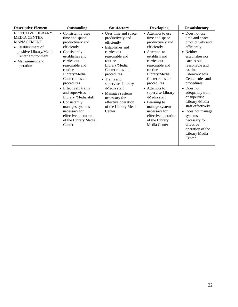| <b>Descriptive Element</b>                                                                                                                                                    | Outstanding                                                                                                                                                                                                                                                                                                                                                                                   | <b>Satisfactory</b>                                                                                                                                                                                                                                                                                                               | <b>Developing</b>                                                                                                                                                                                                                                                                                                                                                          | Unsatisfactory                                                                                                                                                                                                                                                                                                                                                                                                   |
|-------------------------------------------------------------------------------------------------------------------------------------------------------------------------------|-----------------------------------------------------------------------------------------------------------------------------------------------------------------------------------------------------------------------------------------------------------------------------------------------------------------------------------------------------------------------------------------------|-----------------------------------------------------------------------------------------------------------------------------------------------------------------------------------------------------------------------------------------------------------------------------------------------------------------------------------|----------------------------------------------------------------------------------------------------------------------------------------------------------------------------------------------------------------------------------------------------------------------------------------------------------------------------------------------------------------------------|------------------------------------------------------------------------------------------------------------------------------------------------------------------------------------------------------------------------------------------------------------------------------------------------------------------------------------------------------------------------------------------------------------------|
| EFFECTIVE LIBRARY/<br><b>MEDIA CENTER</b><br><b>MANAGEMENT</b><br>$\bullet$ Establishment of<br>positive Library/Media<br>Center environment<br>• Management and<br>operation | • Consistently uses<br>time and space<br>productively and<br>efficiently<br>• Consistently<br>establishes and<br>carries out<br>reasonable and<br>routine<br>Library/Media<br>Center rules and<br>procedures<br>• Effectively trains<br>and supervises<br>Library /Media staff<br>• Consistently<br>manages systems<br>necessary for<br>effective operation<br>of the Library Media<br>Center | • Uses time and space<br>productively and<br>efficiently<br>• Establishes and<br>carries out<br>reasonable and<br>routine<br>Library/Media<br>Center rules and<br>procedures<br>• Trains and<br>supervises Library<br>/Media staff<br>• Manages systems<br>necessary for<br>effective operation<br>of the Library Media<br>Center | • Attempts to use<br>time and space<br>productively and<br>efficiently<br>• Attempts to<br>establish and<br>carries out<br>reasonable and<br>routine<br>Library/Media<br>Center rules and<br>procedures<br>• Attempts to<br>supervise Library<br>/Media staff<br>• Learning to<br>manage systems<br>necessary for<br>effective operation<br>of the Library<br>Media Center | • Does not use<br>time and space<br>productively and<br>efficiently<br>• Neither<br>establishes nor<br>carries out<br>reasonable and<br>routine<br>Library/Media<br>Center rules and<br>procedures<br>$\bullet$ Does not<br>adequately train<br>or supervise<br>Library /Media<br>staff effectively<br>• Does not manage<br>systems<br>necessary for<br>effective<br>operation of the<br>Library Media<br>Center |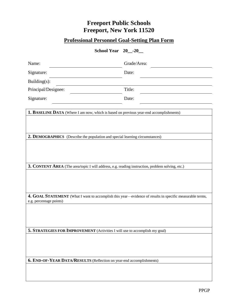### **Professional Personnel Goal-Setting Plan Form**

**School Year 20\_\_-20\_\_**

| Name:                                                                                                                               | Grade/Area: |  |  |  |
|-------------------------------------------------------------------------------------------------------------------------------------|-------------|--|--|--|
| Signature:                                                                                                                          | Date:       |  |  |  |
| Building(s):                                                                                                                        |             |  |  |  |
| Principal/Designee:                                                                                                                 | Title:      |  |  |  |
| Signature:                                                                                                                          | Date:       |  |  |  |
| 1. BASELINE DATA (Where I am now, which is based on previous year-end accomplishments)                                              |             |  |  |  |
|                                                                                                                                     |             |  |  |  |
|                                                                                                                                     |             |  |  |  |
| 2. DEMOGRAPHICS (Describe the population and special learning circumstances)                                                        |             |  |  |  |
|                                                                                                                                     |             |  |  |  |
|                                                                                                                                     |             |  |  |  |
|                                                                                                                                     |             |  |  |  |
| 3. CONTENT AREA (The area/topic I will address, e.g. reading instruction, problem solving, etc.)                                    |             |  |  |  |
|                                                                                                                                     |             |  |  |  |
|                                                                                                                                     |             |  |  |  |
|                                                                                                                                     |             |  |  |  |
| 4. GOAL STATEMENT (What I want to accomplish this year—evidence of results in specific measurable terms,<br>e.g. percentage points) |             |  |  |  |
|                                                                                                                                     |             |  |  |  |
|                                                                                                                                     |             |  |  |  |
|                                                                                                                                     |             |  |  |  |
| 5. STRATEGIES FOR IMPROVEMENT (Activities I will use to accomplish my goal)                                                         |             |  |  |  |
|                                                                                                                                     |             |  |  |  |
|                                                                                                                                     |             |  |  |  |
|                                                                                                                                     |             |  |  |  |
| 6. END-OF-YEAR DATA/RESULTS (Reflection on year-end accomplishments)                                                                |             |  |  |  |
|                                                                                                                                     |             |  |  |  |
|                                                                                                                                     |             |  |  |  |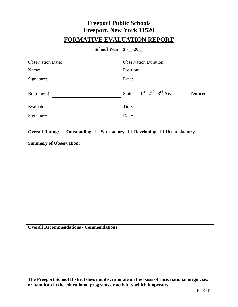### **Freeport Public Schools Freeport, New York 11520 FORMATIVE EVALUATION REPORT**

**School Year 20\_\_-20\_\_**

| <b>Observation Date:</b>                                                                       | <b>Observation Duration:</b>                       |
|------------------------------------------------------------------------------------------------|----------------------------------------------------|
| Name:                                                                                          | Position:                                          |
| Signature:                                                                                     | Date:                                              |
| Building(s):                                                                                   | $1st$ $2nd$ $3rd$ Yr.<br>Status:<br><b>Tenured</b> |
| Evaluator:                                                                                     | Title:                                             |
| Signature:                                                                                     | Date:                                              |
| Overall Rating: $\Box$ Outstanding $\Box$ Satisfactory $\Box$ Developing $\Box$ Unsatisfactory |                                                    |
| <b>Summary of Observation:</b>                                                                 |                                                    |
|                                                                                                |                                                    |
|                                                                                                |                                                    |
|                                                                                                |                                                    |
|                                                                                                |                                                    |
|                                                                                                |                                                    |
|                                                                                                |                                                    |
|                                                                                                |                                                    |
|                                                                                                |                                                    |
| <b>Overall Recommendations / Commendations:</b>                                                |                                                    |
|                                                                                                |                                                    |
|                                                                                                |                                                    |
|                                                                                                |                                                    |
|                                                                                                |                                                    |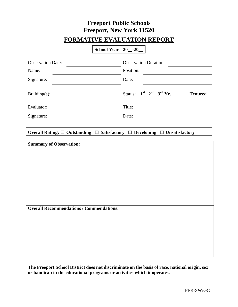### **Freeport Public Schools Freeport, New York 11520 FORMATIVE EVALUATION REPORT**

|                                                 | School Year   20_-20_ |                              |  |                       |                |
|-------------------------------------------------|-----------------------|------------------------------|--|-----------------------|----------------|
| <b>Observation Date:</b>                        |                       | <b>Observation Duration:</b> |  |                       |                |
| Name:                                           |                       | Position:                    |  |                       |                |
| Signature:                                      |                       | Date:                        |  |                       |                |
| Building $(s)$ :                                |                       | Status:                      |  | $1st$ $2nd$ $3rd$ Yr. | <b>Tenured</b> |
| Evaluator:                                      |                       | Title:                       |  |                       |                |
| Signature:                                      |                       | Date:                        |  |                       |                |
| <b>Summary of Observation:</b>                  |                       |                              |  |                       |                |
| <b>Overall Recommendations / Commendations:</b> |                       |                              |  |                       |                |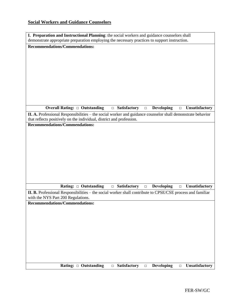### **Social Workers and Guidance Counselors**

| I. Preparation and Instructional Planning: the social workers and guidance counselors shall<br>demonstrate appropriate preparation employing the necessary practices to support instruction. |  |  |  |  |  |
|----------------------------------------------------------------------------------------------------------------------------------------------------------------------------------------------|--|--|--|--|--|
| <b>Recommendations/Commendations:</b>                                                                                                                                                        |  |  |  |  |  |
|                                                                                                                                                                                              |  |  |  |  |  |
|                                                                                                                                                                                              |  |  |  |  |  |
|                                                                                                                                                                                              |  |  |  |  |  |
|                                                                                                                                                                                              |  |  |  |  |  |
|                                                                                                                                                                                              |  |  |  |  |  |
|                                                                                                                                                                                              |  |  |  |  |  |
|                                                                                                                                                                                              |  |  |  |  |  |
|                                                                                                                                                                                              |  |  |  |  |  |
|                                                                                                                                                                                              |  |  |  |  |  |
| Overall Rating: $\Box$ Outstanding<br>$\Box$ Satisfactory<br>Developing<br>Unsatisfactory<br>$\Box$<br>$\Box$                                                                                |  |  |  |  |  |
| II. A. Professional Responsibilities – the social worker and guidance counselor shall demonstrate behavior<br>that reflects positively on the individual, district and profession.           |  |  |  |  |  |
| <b>Recommendations/Commendations:</b>                                                                                                                                                        |  |  |  |  |  |
|                                                                                                                                                                                              |  |  |  |  |  |
|                                                                                                                                                                                              |  |  |  |  |  |
|                                                                                                                                                                                              |  |  |  |  |  |
|                                                                                                                                                                                              |  |  |  |  |  |
|                                                                                                                                                                                              |  |  |  |  |  |
|                                                                                                                                                                                              |  |  |  |  |  |
|                                                                                                                                                                                              |  |  |  |  |  |
|                                                                                                                                                                                              |  |  |  |  |  |
|                                                                                                                                                                                              |  |  |  |  |  |
| Rating: $\Box$ Outstanding<br>$\Box$ Satisfactory<br>Developing<br><b>Unsatisfactory</b><br>$\Box$<br>$\Box$                                                                                 |  |  |  |  |  |
| II. B. Professional Responsibilities – the social worker shall contribute to CPSE/CSE process and familiar<br>with the NYS Part 200 Regulations.                                             |  |  |  |  |  |
| <b>Recommendations/Commendations:</b>                                                                                                                                                        |  |  |  |  |  |
|                                                                                                                                                                                              |  |  |  |  |  |
|                                                                                                                                                                                              |  |  |  |  |  |
|                                                                                                                                                                                              |  |  |  |  |  |
|                                                                                                                                                                                              |  |  |  |  |  |
|                                                                                                                                                                                              |  |  |  |  |  |
|                                                                                                                                                                                              |  |  |  |  |  |
|                                                                                                                                                                                              |  |  |  |  |  |
|                                                                                                                                                                                              |  |  |  |  |  |
|                                                                                                                                                                                              |  |  |  |  |  |
| <b>Developing</b><br>Rating: $\Box$ Outstanding<br><b>Satisfactory</b><br><b>Unsatisfactory</b><br>$\Box$<br>$\Box$<br>$\Box$                                                                |  |  |  |  |  |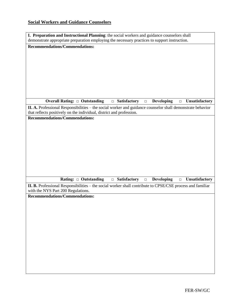### **Social Workers and Guidance Counselors**

| I. Preparation and Instructional Planning: the social workers and guidance counselors shall                                     |  |  |  |  |  |
|---------------------------------------------------------------------------------------------------------------------------------|--|--|--|--|--|
| demonstrate appropriate preparation employing the necessary practices to support instruction.                                   |  |  |  |  |  |
| Recommendations/Commendations:                                                                                                  |  |  |  |  |  |
|                                                                                                                                 |  |  |  |  |  |
|                                                                                                                                 |  |  |  |  |  |
|                                                                                                                                 |  |  |  |  |  |
|                                                                                                                                 |  |  |  |  |  |
|                                                                                                                                 |  |  |  |  |  |
|                                                                                                                                 |  |  |  |  |  |
|                                                                                                                                 |  |  |  |  |  |
|                                                                                                                                 |  |  |  |  |  |
|                                                                                                                                 |  |  |  |  |  |
|                                                                                                                                 |  |  |  |  |  |
| <b>Overall Rating: □ Outstanding</b><br>$\Box$ Satisfactory<br>Developing<br>Unsatisfactory<br>$\Box$<br>$\Box$                 |  |  |  |  |  |
|                                                                                                                                 |  |  |  |  |  |
| II. A. Professional Responsibilities – the social worker and guidance counselor shall demonstrate behavior                      |  |  |  |  |  |
| that reflects positively on the individual, district and profession.                                                            |  |  |  |  |  |
| <b>Recommendations/Commendations:</b>                                                                                           |  |  |  |  |  |
|                                                                                                                                 |  |  |  |  |  |
|                                                                                                                                 |  |  |  |  |  |
|                                                                                                                                 |  |  |  |  |  |
|                                                                                                                                 |  |  |  |  |  |
|                                                                                                                                 |  |  |  |  |  |
|                                                                                                                                 |  |  |  |  |  |
|                                                                                                                                 |  |  |  |  |  |
|                                                                                                                                 |  |  |  |  |  |
|                                                                                                                                 |  |  |  |  |  |
|                                                                                                                                 |  |  |  |  |  |
|                                                                                                                                 |  |  |  |  |  |
| Rating: $\Box$ Outstanding<br>Developing<br><b>Satisfactory</b><br><b>Unsatisfactory</b><br>$\Box$<br>$\hfill\square$<br>$\Box$ |  |  |  |  |  |
| II. B. Professional Responsibilities – the social worker shall contribute to CPSE/CSE process and familiar                      |  |  |  |  |  |
| with the NYS Part 200 Regulations.                                                                                              |  |  |  |  |  |
| <b>Recommendations/Commendations:</b>                                                                                           |  |  |  |  |  |
|                                                                                                                                 |  |  |  |  |  |
|                                                                                                                                 |  |  |  |  |  |
|                                                                                                                                 |  |  |  |  |  |
|                                                                                                                                 |  |  |  |  |  |
|                                                                                                                                 |  |  |  |  |  |
|                                                                                                                                 |  |  |  |  |  |
|                                                                                                                                 |  |  |  |  |  |
|                                                                                                                                 |  |  |  |  |  |
|                                                                                                                                 |  |  |  |  |  |
|                                                                                                                                 |  |  |  |  |  |
|                                                                                                                                 |  |  |  |  |  |
|                                                                                                                                 |  |  |  |  |  |
|                                                                                                                                 |  |  |  |  |  |
|                                                                                                                                 |  |  |  |  |  |
|                                                                                                                                 |  |  |  |  |  |
|                                                                                                                                 |  |  |  |  |  |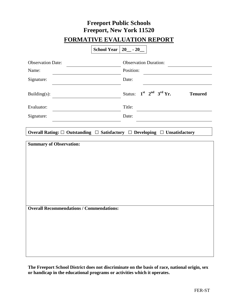### **Freeport Public Schools Freeport, New York 11520 FORMATIVE EVALUATION REPORT**

|                                                                                   | School Year   20 <sub>_</sub> - 20_ |                              |                       |                |
|-----------------------------------------------------------------------------------|-------------------------------------|------------------------------|-----------------------|----------------|
| <b>Observation Date:</b>                                                          |                                     | <b>Observation Duration:</b> |                       |                |
| Name:                                                                             |                                     | Position:                    |                       |                |
| Signature:                                                                        |                                     | Date:                        |                       |                |
| Building $(s)$ :                                                                  |                                     | Status:                      | $1st$ $2nd$ $3rd$ Yr. | <b>Tenured</b> |
| Evaluator:                                                                        |                                     | Title:                       |                       |                |
| Signature:                                                                        |                                     | Date:                        |                       |                |
| <b>Summary of Observation:</b><br><b>Overall Recommendations / Commendations:</b> |                                     |                              |                       |                |
|                                                                                   |                                     |                              |                       |                |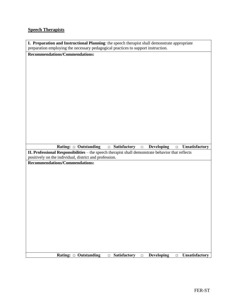#### **Speech Therapists**

| I. Preparation and Instructional Planning: the speech therapist shall demonstrate appropriate |  |
|-----------------------------------------------------------------------------------------------|--|
| preparation employing the necessary pedagogical practices to support instruction.             |  |

**Recommendations/Commendations:**

**Rating: □ Outstanding □ Satisfactory □ Developing □ Unsatisfactory**

**II. Professional Responsibilities** – the speech therapist shall demonstrate behavior that reflects positively on the individual, district and profession.

**Recommendations/Commendations:**

**Rating: □ Outstanding □ Satisfactory □ Developing □ Unsatisfactory**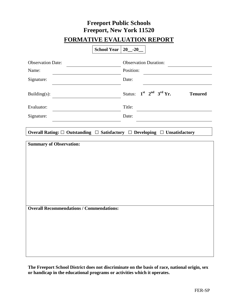### **Freeport Public Schools Freeport, New York 11520 FORMATIVE EVALUATION REPORT**

|                                                                                   | School Year $\vert 20 - 20 \vert$ |           |                                                 |
|-----------------------------------------------------------------------------------|-----------------------------------|-----------|-------------------------------------------------|
| <b>Observation Date:</b>                                                          |                                   |           | <b>Observation Duration:</b>                    |
| Name:                                                                             |                                   | Position: |                                                 |
| Signature:                                                                        |                                   | Date:     |                                                 |
| Building(s):                                                                      |                                   |           | Status: $1st$ $2nd$ $3rd$ Yr.<br><b>Tenured</b> |
| Evaluator:                                                                        |                                   | Title:    |                                                 |
| Signature:                                                                        |                                   | Date:     |                                                 |
| <b>Summary of Observation:</b><br><b>Overall Recommendations / Commendations:</b> |                                   |           |                                                 |
|                                                                                   |                                   |           |                                                 |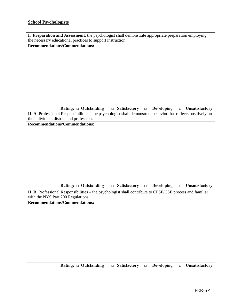### **School Psychologists**

| I. Preparation and Assessment: the psychologist shall demonstrate appropriate preparation employing                                             |  |  |  |  |  |
|-------------------------------------------------------------------------------------------------------------------------------------------------|--|--|--|--|--|
| the necessary educational practices to support instruction.                                                                                     |  |  |  |  |  |
| <b>Recommendations/Commendations:</b>                                                                                                           |  |  |  |  |  |
|                                                                                                                                                 |  |  |  |  |  |
|                                                                                                                                                 |  |  |  |  |  |
|                                                                                                                                                 |  |  |  |  |  |
|                                                                                                                                                 |  |  |  |  |  |
|                                                                                                                                                 |  |  |  |  |  |
|                                                                                                                                                 |  |  |  |  |  |
|                                                                                                                                                 |  |  |  |  |  |
|                                                                                                                                                 |  |  |  |  |  |
|                                                                                                                                                 |  |  |  |  |  |
|                                                                                                                                                 |  |  |  |  |  |
| Rating: 0 Outstanding<br><b>Developing</b><br><b>Unsatisfactory</b><br>$\Box$ Satisfactory<br>$\Box$<br>$\Box$                                  |  |  |  |  |  |
| II. A. Professional Responsibilities – the psychologist shall demonstrate behavior that reflects positively on                                  |  |  |  |  |  |
| the individual, district and profession.                                                                                                        |  |  |  |  |  |
| <b>Recommendations/Commendations:</b>                                                                                                           |  |  |  |  |  |
|                                                                                                                                                 |  |  |  |  |  |
|                                                                                                                                                 |  |  |  |  |  |
|                                                                                                                                                 |  |  |  |  |  |
|                                                                                                                                                 |  |  |  |  |  |
|                                                                                                                                                 |  |  |  |  |  |
|                                                                                                                                                 |  |  |  |  |  |
|                                                                                                                                                 |  |  |  |  |  |
|                                                                                                                                                 |  |  |  |  |  |
|                                                                                                                                                 |  |  |  |  |  |
|                                                                                                                                                 |  |  |  |  |  |
| Rating: $\Box$ Outstanding<br>Developing<br>$\Box$ Satisfactory<br>Unsatisfactory<br>$\Box$<br>$\Box$                                           |  |  |  |  |  |
|                                                                                                                                                 |  |  |  |  |  |
| II. B. Professional Responsibilities – the psychologist shall contribute to CPSE/CSE process and familiar<br>with the NYS Part 200 Regulations. |  |  |  |  |  |
| <b>Recommendations/Commendations:</b>                                                                                                           |  |  |  |  |  |
|                                                                                                                                                 |  |  |  |  |  |
|                                                                                                                                                 |  |  |  |  |  |
|                                                                                                                                                 |  |  |  |  |  |
|                                                                                                                                                 |  |  |  |  |  |
|                                                                                                                                                 |  |  |  |  |  |
|                                                                                                                                                 |  |  |  |  |  |
|                                                                                                                                                 |  |  |  |  |  |
|                                                                                                                                                 |  |  |  |  |  |
|                                                                                                                                                 |  |  |  |  |  |
|                                                                                                                                                 |  |  |  |  |  |
|                                                                                                                                                 |  |  |  |  |  |
| Rating: □ Outstanding<br><b>Satisfactory</b><br><b>Developing</b><br><b>Unsatisfactory</b><br>$\Box$<br>$\Box$<br>$\Box$                        |  |  |  |  |  |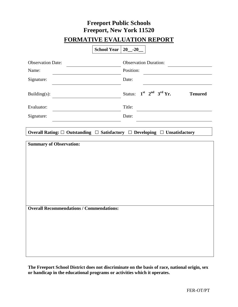### **Freeport Public Schools Freeport, New York 11520 FORMATIVE EVALUATION REPORT**

|                                                 | School Year   20_-20 |                              |                       |                |
|-------------------------------------------------|----------------------|------------------------------|-----------------------|----------------|
| <b>Observation Date:</b>                        |                      | <b>Observation Duration:</b> |                       |                |
| Name:                                           |                      | Position:                    |                       |                |
| Signature:                                      |                      | Date:                        |                       |                |
| Building $(s)$ :                                |                      | Status:                      | $1st$ $2nd$ $3rd$ Yr. | <b>Tenured</b> |
| Evaluator:                                      |                      | Title:                       |                       |                |
| Signature:                                      |                      | Date:                        |                       |                |
| <b>Summary of Observation:</b>                  |                      |                              |                       |                |
| <b>Overall Recommendations / Commendations:</b> |                      |                              |                       |                |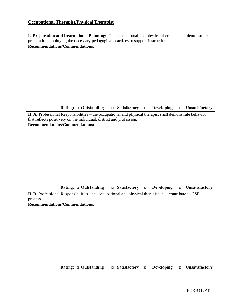### **Occupational Therapist/Physical Therapist**

| I. Preparation and Instructional Planning: The occupational and physical therapist shall demonstrate                |
|---------------------------------------------------------------------------------------------------------------------|
| preparation employing the necessary pedagogical practices to support instruction.                                   |
| <b>Recommendations/Commendations:</b>                                                                               |
|                                                                                                                     |
|                                                                                                                     |
|                                                                                                                     |
|                                                                                                                     |
|                                                                                                                     |
|                                                                                                                     |
|                                                                                                                     |
|                                                                                                                     |
|                                                                                                                     |
|                                                                                                                     |
| $\Box$ Satisfactory<br>Rating: $\Box$ Outstanding<br><b>Developing</b><br><b>Unsatisfactory</b><br>$\Box$<br>$\Box$ |
| II. A. Professional Responsibilities – the occupational and physical therapist shall demonstrate behavior           |
| that reflects positively on the individual, district and profession.                                                |
| <b>Recommendations/Commendations:</b>                                                                               |
|                                                                                                                     |
|                                                                                                                     |
|                                                                                                                     |
|                                                                                                                     |
|                                                                                                                     |
|                                                                                                                     |
|                                                                                                                     |
|                                                                                                                     |
|                                                                                                                     |
| Rating: $\Box$ Outstanding<br>$\Box$ Satisfactory<br><b>Developing</b><br>Unsatisfactory                            |
| $\Box$<br>$\Box$                                                                                                    |
| II. B. Professional Responsibilities – the occupational and physical therapist shall contribute to CSE<br>process.  |
| Recommendations/Commendations:                                                                                      |
|                                                                                                                     |
|                                                                                                                     |
|                                                                                                                     |
|                                                                                                                     |
|                                                                                                                     |
|                                                                                                                     |
|                                                                                                                     |
|                                                                                                                     |
|                                                                                                                     |
|                                                                                                                     |
| Rating: $\Box$ Outstanding<br>Developing $\Box$ Unsatisfactory<br>$\Box$ Satisfactory<br>$\Box$                     |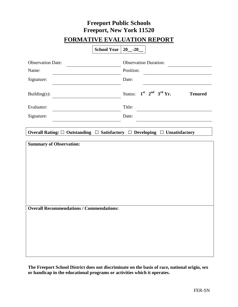### **Freeport Public Schools Freeport, New York 11520 FORMATIVE EVALUATION REPORT**

|                                                 | School Year   20 <sub>-</sub> -20 |                               |  |  |                |
|-------------------------------------------------|-----------------------------------|-------------------------------|--|--|----------------|
| <b>Observation Date:</b>                        |                                   | <b>Observation Duration:</b>  |  |  |                |
| Name:                                           |                                   | Position:                     |  |  |                |
| Signature:                                      |                                   | Date:                         |  |  |                |
| Building $(s)$ :                                |                                   | Status: $1st$ $2nd$ $3rd$ Yr. |  |  | <b>Tenured</b> |
| Evaluator:                                      |                                   | Title:                        |  |  |                |
| Signature:                                      |                                   | Date:                         |  |  |                |
| <b>Summary of Observation:</b>                  |                                   |                               |  |  |                |
| <b>Overall Recommendations / Commendations:</b> |                                   |                               |  |  |                |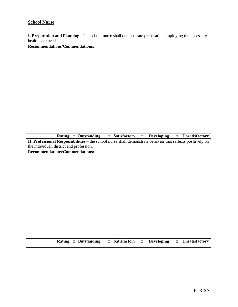#### **School Nurse**

|                    | I. Preparation and Planning: The school nurse shall demonstrate preparation employing the necessary |
|--------------------|-----------------------------------------------------------------------------------------------------|
| health care needs. |                                                                                                     |

**Recommendations/Commendations:**

**Rating: □ Outstanding □ Satisfactory □ Developing □ Unsatisfactory**

**II. Professional Responsibilities –** the school nurse shall demonstrate behavior that reflects positively on the individual, district and profession.

**Recommendations/Commendations:**

**Rating: □ Outstanding □ Satisfactory □ Developing □ Unsatisfactory**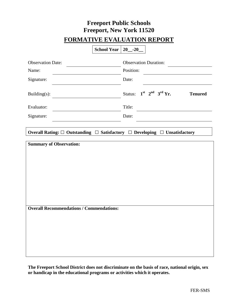### **Freeport Public Schools Freeport, New York 11520 FORMATIVE EVALUATION REPORT**

|                                                 | School Year   20 <sub>-</sub> -20 |                              |                               |                |
|-------------------------------------------------|-----------------------------------|------------------------------|-------------------------------|----------------|
| <b>Observation Date:</b>                        |                                   | <b>Observation Duration:</b> |                               |                |
| Name:                                           |                                   | Position:                    |                               |                |
| Signature:                                      |                                   | Date:                        |                               |                |
| Building $(s)$ :                                |                                   |                              | Status: $1st$ $2nd$ $3rd$ Yr. | <b>Tenured</b> |
| Evaluator:                                      |                                   | Title:                       |                               |                |
| Signature:                                      |                                   | Date:                        |                               |                |
| <b>Summary of Observation:</b>                  |                                   |                              |                               |                |
| <b>Overall Recommendations / Commendations:</b> |                                   |                              |                               |                |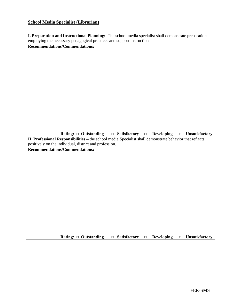**Recommendations/Commendations:**

employing the necessary pedagogical practices and support instruction

|                                |                                                                                                                                                                    | Rating: □ Outstanding | <b>Batisfactory</b> | <b>Developing</b><br>$\Box$ | <b>Unsatisfactory</b><br>$\Box$ |
|--------------------------------|--------------------------------------------------------------------------------------------------------------------------------------------------------------------|-----------------------|---------------------|-----------------------------|---------------------------------|
|                                | II. Professional Responsibilities - the school media Specialist shall demonstrate behavior that reflects<br>positively on the individual, district and profession. |                       |                     |                             |                                 |
|                                |                                                                                                                                                                    |                       |                     |                             |                                 |
| Recommendations/Commendations: |                                                                                                                                                                    |                       |                     |                             |                                 |
|                                |                                                                                                                                                                    |                       |                     |                             |                                 |
|                                |                                                                                                                                                                    |                       |                     |                             |                                 |
|                                |                                                                                                                                                                    |                       |                     |                             |                                 |
|                                |                                                                                                                                                                    |                       |                     |                             |                                 |
|                                |                                                                                                                                                                    |                       |                     |                             |                                 |
|                                |                                                                                                                                                                    |                       |                     |                             |                                 |
|                                |                                                                                                                                                                    |                       |                     |                             |                                 |
|                                |                                                                                                                                                                    |                       |                     |                             |                                 |

**I. Preparation and Instructional Planning:** The school media specialist shall demonstrate preparation

Rating: □ Outstanding □ Satisfactory □ Developing □ Unsatisfactory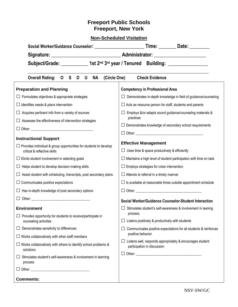| Social Worker/Guidance Counselor: ______________________________Time: __________Date: _____________ |                                                                                                                                                                                        |  |  |  |
|-----------------------------------------------------------------------------------------------------|----------------------------------------------------------------------------------------------------------------------------------------------------------------------------------------|--|--|--|
|                                                                                                     |                                                                                                                                                                                        |  |  |  |
|                                                                                                     |                                                                                                                                                                                        |  |  |  |
| <b>Overall Rating:</b><br>(Circle One)<br>OSD<br><b>NA</b><br>U                                     | <b>Check Evidence</b>                                                                                                                                                                  |  |  |  |
| <b>Preparation and Planning</b>                                                                     | <b>Competency in Professional Area</b>                                                                                                                                                 |  |  |  |
| $\Box$ Formulates objectives & appropriate strategies                                               | $\Box$ Demonstrates in-depth knowledge in field of guidance/counseling                                                                                                                 |  |  |  |
| $\Box$ Identifies needs & plans intervention                                                        | $\Box$ Acts as resource person for staff, students and parents                                                                                                                         |  |  |  |
| $\Box$ Acquires pertinent info from a variety of sources                                            | Employs &/or adapts sound guidance/counseling materials &                                                                                                                              |  |  |  |
| Assesses the effectiveness of intervention strategies                                               | practices<br>$\Box$ Demonstrates knowledge of secondary school requirements                                                                                                            |  |  |  |
|                                                                                                     |                                                                                                                                                                                        |  |  |  |
| <b>Instructional Support</b>                                                                        |                                                                                                                                                                                        |  |  |  |
| $\Box$ Provides individual & group opportunities for students to develop                            | <b>Effective Management</b>                                                                                                                                                            |  |  |  |
| critical & reflective skills                                                                        | $\Box$ Uses time & space productively & efficiently                                                                                                                                    |  |  |  |
| $\Box$ Elicits student involvement in selecting goals                                               | $\Box$ Maintains a high level of student participation with time on task                                                                                                               |  |  |  |
| $\Box$ Helps student to develop decision-making skills                                              | $\Box$ Employs strategies for crisis intervention                                                                                                                                      |  |  |  |
| $\Box$ Assist student with scheduling, transcripts, post secondary plans                            | $\Box$ Attends to referral in a timely manner                                                                                                                                          |  |  |  |
| $\Box$ Communicates positive expectations                                                           | $\Box$ Is available at reasonable times outside appointment schedule                                                                                                                   |  |  |  |
| Has in-depth knowledge of post secondary options                                                    |                                                                                                                                                                                        |  |  |  |
|                                                                                                     | Social Worker/Guidance Counselor-Student Interaction                                                                                                                                   |  |  |  |
| <b>Environment</b>                                                                                  | $\Box$ Stimulates student's self-awareness & involvement in leaning                                                                                                                    |  |  |  |
| $\Box$ Provides opportunity for students to receive/participate in                                  | process.                                                                                                                                                                               |  |  |  |
| counseling activities                                                                               | $\Box$ Listens positively & productively with students                                                                                                                                 |  |  |  |
| Demonstrates sensitivity to differences<br>$\Box$                                                   | Communicates positive expectations for all students & reinforces<br>positive behavior<br>Listens well, responds appropriately & encourages student<br>ப<br>participation in discussion |  |  |  |
| $\Box$ Works collaboratively with other staff members                                               |                                                                                                                                                                                        |  |  |  |
| $\Box$ Works collaboratively with others to identify school problems &<br>solutions                 |                                                                                                                                                                                        |  |  |  |
| $\Box$ Stimulates student's self-awareness & involvement in learning<br>process                     |                                                                                                                                                                                        |  |  |  |
|                                                                                                     |                                                                                                                                                                                        |  |  |  |
| <b>Comments:</b>                                                                                    |                                                                                                                                                                                        |  |  |  |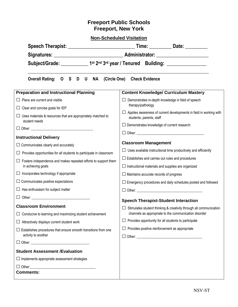**Non-Scheduled Visitation**

| <b>Non-Scheduled Visitation</b>                                                                                       |                                                                                                                                    |  |  |  |
|-----------------------------------------------------------------------------------------------------------------------|------------------------------------------------------------------------------------------------------------------------------------|--|--|--|
|                                                                                                                       |                                                                                                                                    |  |  |  |
|                                                                                                                       |                                                                                                                                    |  |  |  |
| Subject/Grade: ____________1 <sup>st</sup> 2 <sup>nd</sup> 3 <sup>rd</sup> year / Tenured Building: _________________ |                                                                                                                                    |  |  |  |
| Overall Rating: 0 S D U NA                                                                                            | (Circle One) Check Evidence                                                                                                        |  |  |  |
| <b>Preparation and Instructional Planning</b>                                                                         | <b>Content Knowledge/ Curriculum Mastery</b>                                                                                       |  |  |  |
| $\Box$ Plans are current and visible                                                                                  | Demonstrates in-depth knowledge in field of speech                                                                                 |  |  |  |
| $\Box$ Clear and concise goals for IEP                                                                                | therapy/pathology                                                                                                                  |  |  |  |
| $\Box$ Uses materials & resources that are appropriately matched to<br>student needs                                  | $\Box$ Applies awareness of current developments in field in working with<br>students, parents, staff                              |  |  |  |
|                                                                                                                       | $\Box$ Demonstrates knowledge of current research                                                                                  |  |  |  |
| <b>Instructional Delivery</b>                                                                                         |                                                                                                                                    |  |  |  |
| $\Box$ Communicates clearly and accurately                                                                            | <b>Classroom Management</b>                                                                                                        |  |  |  |
|                                                                                                                       | $\Box$ Uses available instructional time productively and efficiently                                                              |  |  |  |
| $\Box$ Provides opportunities for all students to participate in classroom                                            | $\Box$ Establishes and carries out rules and procedures                                                                            |  |  |  |
| $\Box$ Fosters independence and makes repeated efforts to support them<br>in achieving goals                          | $\Box$ Instructional materials and supplies are organized                                                                          |  |  |  |
| $\Box$ Incorporates technology if appropriate                                                                         | $\Box$ Maintains accurate records of progress                                                                                      |  |  |  |
| $\Box$ Communicates positive expectations                                                                             | $\Box$ Emergency procedures and daily schedules posted and followed                                                                |  |  |  |
| $\Box$ Has enthusiasm for subject matter                                                                              |                                                                                                                                    |  |  |  |
|                                                                                                                       |                                                                                                                                    |  |  |  |
| <b>Classroom Environment</b>                                                                                          | <b>Speech Therapist-Student Interaction</b>                                                                                        |  |  |  |
| Conducive to learning and maximizing student achievement                                                              | $\Box$ Stimulates student thinking & creativity through all communication<br>channels as appropriate to the communication disorder |  |  |  |
| Attractively displays current student work                                                                            | Provides opportunity for all students to participate                                                                               |  |  |  |
| $\Box$ Establishes procedures that ensure smooth transitions from one<br>activity to another                          | Provides positive reinforcement as appropriate                                                                                     |  |  |  |
|                                                                                                                       |                                                                                                                                    |  |  |  |
|                                                                                                                       |                                                                                                                                    |  |  |  |

**Student Assessment /Evaluation**

**□**Implements appropriate assessment strategies

□ Other:

**Comments:**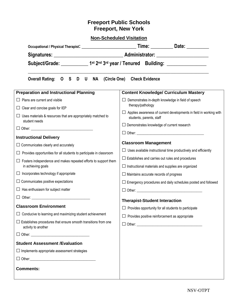**Non-Scheduled Visitation**

| Subject/Grade: 1st 2 <sup>nd</sup> 3 <sup>rd</sup> year / Tenured Building: 1991             |                                                                                                       |  |  |  |  |
|----------------------------------------------------------------------------------------------|-------------------------------------------------------------------------------------------------------|--|--|--|--|
| Overall Rating: 0 S D U NA (Circle One) Check Evidence                                       |                                                                                                       |  |  |  |  |
| <b>Preparation and Instructional Planning</b>                                                | <b>Content Knowledge/ Curriculum Mastery</b>                                                          |  |  |  |  |
| $\Box$ Plans are current and visible                                                         | Demonstrates in-depth knowledge in field of speech                                                    |  |  |  |  |
| $\Box$ Clear and concise goals for IEP                                                       | therapy/pathology                                                                                     |  |  |  |  |
| $\Box$ Uses materials & resources that are appropriately matched to                          | $\Box$ Applies awareness of current developments in field in working with<br>students, parents, staff |  |  |  |  |
| student needs                                                                                | $\Box$ Demonstrates knowledge of current research                                                     |  |  |  |  |
|                                                                                              |                                                                                                       |  |  |  |  |
| <b>Instructional Delivery</b>                                                                | <b>Classroom Management</b>                                                                           |  |  |  |  |
| $\Box$ Communicates clearly and accurately                                                   | $\Box$ Uses available instructional time productively and efficiently                                 |  |  |  |  |
| $\Box$ Provides opportunities for all students to participate in classroom                   | $\Box$ Establishes and carries out rules and procedures                                               |  |  |  |  |
| $\Box$ Fosters independence and makes repeated efforts to support them<br>in achieving goals | $\Box$ Instructional materials and supplies are organized                                             |  |  |  |  |
| $\Box$ Incorporates technology if appropriate                                                | $\Box$ Maintains accurate records of progress                                                         |  |  |  |  |
| $\Box$ Communicates positive expectations                                                    | $\Box$ Emergency procedures and daily schedules posted and followed                                   |  |  |  |  |
| $\Box$ Has enthusiasm for subject matter                                                     | $\Box$ Other:                                                                                         |  |  |  |  |
| □ Other: <u>___________________________</u>                                                  | <b>Therapist-Student Interaction</b>                                                                  |  |  |  |  |
| <b>Classroom Environment</b>                                                                 | $\Box$ Provides opportunity for all students to participate                                           |  |  |  |  |
| $\Box$ Conducive to learning and maximizing student achievement                              | $\Box$ Provides positive reinforcement as appropriate                                                 |  |  |  |  |
| $\Box$ Establishes procedures that ensure smooth transitions from one<br>activity to another |                                                                                                       |  |  |  |  |
|                                                                                              |                                                                                                       |  |  |  |  |
| <b>Student Assessment /Evaluation</b>                                                        |                                                                                                       |  |  |  |  |
| $\Box$ Implements appropriate assessment strategies                                          |                                                                                                       |  |  |  |  |
|                                                                                              |                                                                                                       |  |  |  |  |
| <b>Comments:</b>                                                                             |                                                                                                       |  |  |  |  |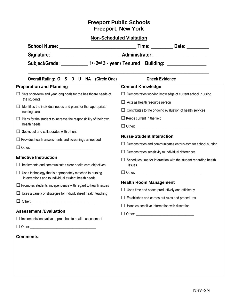### **Non-Scheduled Visitation**

| <b>School Nurse:</b> |                                                                          | Time: | Date: |
|----------------------|--------------------------------------------------------------------------|-------|-------|
| Signature:           | <b>Administrator:</b>                                                    |       |       |
| Subject/Grade:       | 1 <sup>st</sup> 2 <sup>nd</sup> 3 <sup>rd</sup> year / Tenured Building: |       |       |

**\_\_\_\_\_\_\_\_\_\_\_\_\_\_\_\_\_\_\_\_\_\_\_\_\_\_\_\_\_\_\_\_\_\_\_\_\_\_\_\_\_\_\_\_\_\_\_\_\_\_\_\_\_\_\_\_\_\_\_\_\_\_\_\_\_\_\_\_\_\_\_\_\_\_\_\_\_\_\_\_\_\_\_\_\_**

| Overall Rating: O S D U NA (Circle One)                                                                                 | <b>Check Evidence</b>                                            |  |  |
|-------------------------------------------------------------------------------------------------------------------------|------------------------------------------------------------------|--|--|
| <b>Preparation and Planning</b>                                                                                         | <b>Content Knowledge</b>                                         |  |  |
| Sets short-term and year long goals for the healthcare needs of<br>the students                                         | $\Box$ Demonstrates working knowledge of current school nursing  |  |  |
|                                                                                                                         | $\Box$ Acts as health resource person                            |  |  |
| Identifies the individual needs and plans for the appropriate<br>$\Box$<br>nursing care                                 | Contributes to the ongoing evaluation of health services         |  |  |
| Plans for the student to increase the responsibility of their own<br>⊔<br>health needs                                  | $\Box$ Keeps current in the field                                |  |  |
| $\Box$ Seeks out and collaborates with others                                                                           |                                                                  |  |  |
| $\Box$ Provides health assessments and screenings as needed                                                             | <b>Nurse-Student Interaction</b>                                 |  |  |
|                                                                                                                         | Demonstrates and communicates enthusiasm for school nursing      |  |  |
|                                                                                                                         | Demonstrates sensitivity to individual differences               |  |  |
| <b>Effective Instruction</b>                                                                                            | Schedules time for interaction with the student regarding health |  |  |
| Implements and communicates clear health care objectives<br>ப                                                           | issues                                                           |  |  |
| $\Box$ Uses technology that is appropriately matched to nursing<br>interventions and to individual student health needs |                                                                  |  |  |
| $\Box$ Promotes students' independence with regard to health issues                                                     | <b>Health Room Management</b>                                    |  |  |
| $\Box$ Uses a variety of strategies for individualized health teaching                                                  | $\Box$ Uses time and space productively and efficiently          |  |  |
|                                                                                                                         | Establishes and carries out rules and procedures                 |  |  |
|                                                                                                                         | Handles sensitive information with discretion                    |  |  |
| <b>Assessment /Evaluation</b>                                                                                           |                                                                  |  |  |
| $\Box$ Implements innovative approaches to health assessment                                                            |                                                                  |  |  |
| $\Box$ Other:                                                                                                           |                                                                  |  |  |
| <b>Comments:</b>                                                                                                        |                                                                  |  |  |
|                                                                                                                         |                                                                  |  |  |
|                                                                                                                         |                                                                  |  |  |
|                                                                                                                         |                                                                  |  |  |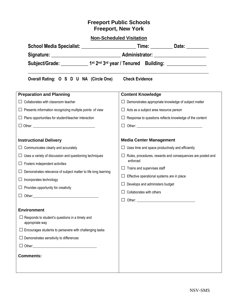|                                                                           | School Media Specialist: ________________________________Time: _____________Date: _________________                   |  |  |  |  |
|---------------------------------------------------------------------------|-----------------------------------------------------------------------------------------------------------------------|--|--|--|--|
|                                                                           |                                                                                                                       |  |  |  |  |
|                                                                           | Subject/Grade: ____________1 <sup>st</sup> 2 <sup>nd</sup> 3 <sup>rd</sup> year / Tenured Building: _________________ |  |  |  |  |
| Overall Rating: O S D U NA (Circle One)                                   | <b>Check Evidence</b>                                                                                                 |  |  |  |  |
| <b>Preparation and Planning</b>                                           | <b>Content Knowledge</b>                                                                                              |  |  |  |  |
| Collaborates with classroom teacher                                       | $\Box$ Demonstrates appropriate knowledge of subject matter                                                           |  |  |  |  |
| $\Box$ Presents information recognizing multiple points of view           | $\Box$ Acts as a subject area resource person                                                                         |  |  |  |  |
| $\Box$ Plans opportunities for student/teacher interaction                | $\Box$ Response to questions reflects knowledge of the content                                                        |  |  |  |  |
|                                                                           |                                                                                                                       |  |  |  |  |
| <b>Instructional Delivery</b>                                             | <b>Media Center Management</b>                                                                                        |  |  |  |  |
| $\Box$ Communicates clearly and accurately                                | $\Box$ Uses time and space productively and efficiently                                                               |  |  |  |  |
| $\Box$ Uses a variety of discussion and questioning techniques            | Rules, procedures, rewards and consequences are posted and                                                            |  |  |  |  |
| $\Box$ Fosters independent activities                                     | enforced<br>$\Box$ Trains and supervises staff                                                                        |  |  |  |  |
| $\Box$ Demonstrates relevance of subject matter to life long learning     |                                                                                                                       |  |  |  |  |
| $\Box$ Incorporates technology                                            | $\Box$ Effective operational systems are in place                                                                     |  |  |  |  |
| $\Box$ Provides opportunity for creativity                                | $\Box$ Develops and administers budget                                                                                |  |  |  |  |
| $\Box$ Other: $\Box$                                                      | $\Box$ Collaborates with others                                                                                       |  |  |  |  |
|                                                                           |                                                                                                                       |  |  |  |  |
| <b>Environment</b>                                                        |                                                                                                                       |  |  |  |  |
| $\Box$ Responds to student's questions in a timely and<br>appropriate way |                                                                                                                       |  |  |  |  |
| $\Box$ Encourages students to persevere with challenging tasks            |                                                                                                                       |  |  |  |  |
| $\Box$ Demonstrates sensitivity to differences                            |                                                                                                                       |  |  |  |  |
|                                                                           |                                                                                                                       |  |  |  |  |
| <b>Comments:</b>                                                          |                                                                                                                       |  |  |  |  |
|                                                                           |                                                                                                                       |  |  |  |  |
|                                                                           |                                                                                                                       |  |  |  |  |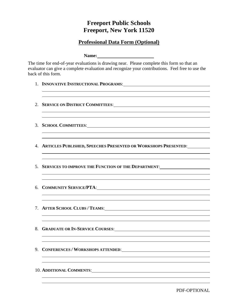### **Professional Data Form (Optional)**

**Name:**

The time for end-of-year evaluations is drawing near. Please complete this form so that an evaluator can give a complete evaluation and recognize your contributions. Feel free to use the back of this form.

- 1. **INNOVATIVE INSTRUCTIONAL PROGRAMS**:
- 2. **SERVICE ON DISTRICT COMMITTEES**:
- 3. **SCHOOL COMMITTEES**:
- 4. **ARTICLES PUBLISHED, SPEECHES PRESENTED OR WORKSHOPS PRESENTED**:
- 5. **SERVICES TO IMPROVE THE FUNCTION OF THE DEPARTMENT**:

- 6. **COMMUNITY SERVICE/PTA**:
- 7. **AFTER SCHOOL CLUBS / TEAMS**:
- 8. **GRADUATE OR IN-SERVICE COURSES**:
- 9. **CONFERENCES / WORKSHOPS ATTENDED**:
- 10. **ADDITIONAL COMMENTS**:

PDF-OPTIONAL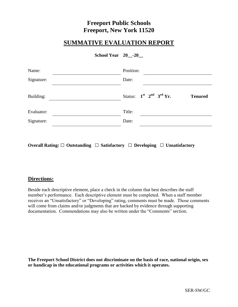### **SUMMATIVE EVALUATION REPORT**

| School Year 20 -20 |  |  |
|--------------------|--|--|
|--------------------|--|--|

| Date:  |           |                               |
|--------|-----------|-------------------------------|
|        |           | <b>Tenured</b>                |
| Title: |           |                               |
| Date:  |           |                               |
|        | Position: | Status: $1st$ $2nd$ $3rd$ Yr. |

**Overall Rating: □ Outstanding □ Satisfactory □ Developing □ Unsatisfactory**

### **Directions:**

Beside each descriptive element, place a check in the column that best describes the staff member's performance. Each descriptive element must be completed. When a staff member receives an "Unsatisfactory" or "Developing" rating, comments must be made. Those comments will come from claims and/or judgments that are backed by evidence through supporting documentation. Commendations may also be written under the "Comments" section.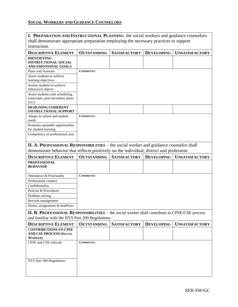### **SOCIAL WORKERS AND GUIDANCE COUNSELORS**

|                                                                                                      |                    | I. PREPARATION AND INSTRUCTIONAL PLANNING: the social workers and guidance counselors |                   |                       |  |  |  |  |
|------------------------------------------------------------------------------------------------------|--------------------|---------------------------------------------------------------------------------------|-------------------|-----------------------|--|--|--|--|
| shall demonstrate appropriate preparation employing the necessary practices to support               |                    |                                                                                       |                   |                       |  |  |  |  |
| instruction.                                                                                         |                    |                                                                                       |                   |                       |  |  |  |  |
| <b>DESCRIPTIVE ELEMENT</b>                                                                           | <b>OUTSTANDING</b> | <b>SATISFACTORY</b>                                                                   | <b>DEVELOPING</b> | <b>UNSATISFACTORY</b> |  |  |  |  |
| <b>IDENTIFYING</b>                                                                                   |                    |                                                                                       |                   |                       |  |  |  |  |
| <b>INSTRUCTIONAL SOCIAL</b>                                                                          |                    |                                                                                       |                   |                       |  |  |  |  |
| AND EMOTIONAL GOALS                                                                                  |                    |                                                                                       |                   |                       |  |  |  |  |
| Plans and Assesses                                                                                   | <b>COMMENTS:</b>   |                                                                                       |                   |                       |  |  |  |  |
| Assist students to achieve<br>learning objectives                                                    |                    |                                                                                       |                   |                       |  |  |  |  |
| Assists students to achieve                                                                          |                    |                                                                                       |                   |                       |  |  |  |  |
| behavioral objects                                                                                   |                    |                                                                                       |                   |                       |  |  |  |  |
| Assist students with scheduling,                                                                     |                    |                                                                                       |                   |                       |  |  |  |  |
| transcripts, post secondary plans<br>(GC)                                                            |                    |                                                                                       |                   |                       |  |  |  |  |
| <b>DESIGNING COHERENT</b><br><b>INSTRUCTIONAL SUPPORT</b>                                            |                    |                                                                                       |                   |                       |  |  |  |  |
| Adapts to school and student<br>needs                                                                | <b>COMMENTS:</b>   |                                                                                       |                   |                       |  |  |  |  |
| Promotes equitable opportunities                                                                     |                    |                                                                                       |                   |                       |  |  |  |  |
| for student learning                                                                                 |                    |                                                                                       |                   |                       |  |  |  |  |
| Competency in professional area                                                                      |                    |                                                                                       |                   |                       |  |  |  |  |
| II. A. PROFESSIONAL RESPONSIBILITIES – the social worker and guidance counselor shall                |                    |                                                                                       |                   |                       |  |  |  |  |
| demonstrate behavior that reflects positively on the individual, district and profession.            |                    |                                                                                       |                   |                       |  |  |  |  |
|                                                                                                      |                    |                                                                                       |                   |                       |  |  |  |  |
|                                                                                                      |                    |                                                                                       |                   |                       |  |  |  |  |
| <b>DESCRIPTIVE ELEMENT</b>                                                                           | <b>OUTSTANDING</b> | <b>SATISFACTORY</b>                                                                   | <b>DEVELOPING</b> | <b>UNSATISFACTORY</b> |  |  |  |  |
| <b>PROFESSIONAL</b>                                                                                  |                    |                                                                                       |                   |                       |  |  |  |  |
| <b>BEHAVIOR</b>                                                                                      |                    |                                                                                       |                   |                       |  |  |  |  |
| Attendance & Punctuality                                                                             | <b>COMMENTS:</b>   |                                                                                       |                   |                       |  |  |  |  |
| Professional conduct                                                                                 |                    |                                                                                       |                   |                       |  |  |  |  |
| Confidentiality                                                                                      |                    |                                                                                       |                   |                       |  |  |  |  |
| Policies & Procedures                                                                                |                    |                                                                                       |                   |                       |  |  |  |  |
| Problem solving                                                                                      |                    |                                                                                       |                   |                       |  |  |  |  |
| Records management                                                                                   |                    |                                                                                       |                   |                       |  |  |  |  |
| Duties, assignments & deadlines                                                                      |                    |                                                                                       |                   |                       |  |  |  |  |
| <b>II. B. PROFESSIONAL RESPONSIBILITIES</b> – the social worker shall contribute to CPSE/CSE process |                    |                                                                                       |                   |                       |  |  |  |  |
| and familiar with the NYS Part 200 Regulations.                                                      |                    |                                                                                       |                   |                       |  |  |  |  |
| <b>DESCRIPTIVE ELEMENT</b>                                                                           | <b>OUTSTANDING</b> | <b>SATISFACTORY</b>                                                                   | <b>DEVELOPING</b> | <b>UNSATISFACTORY</b> |  |  |  |  |
| <b>CONTRIBUTIONS TO CPSE</b><br><b>AND CSE PROCESS (SOCIAL</b><br><b>WORKER</b> )                    |                    |                                                                                       |                   |                       |  |  |  |  |
| CPSE and CSE referrals                                                                               | <b>COMMENTS:</b>   |                                                                                       |                   |                       |  |  |  |  |
|                                                                                                      |                    |                                                                                       |                   |                       |  |  |  |  |
|                                                                                                      |                    |                                                                                       |                   |                       |  |  |  |  |
|                                                                                                      |                    |                                                                                       |                   |                       |  |  |  |  |
| NYS Part 200 Regulations                                                                             |                    |                                                                                       |                   |                       |  |  |  |  |
|                                                                                                      |                    |                                                                                       |                   |                       |  |  |  |  |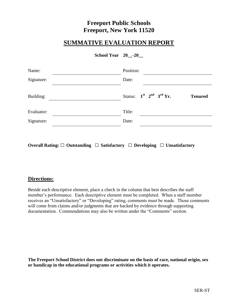### **SUMMATIVE EVALUATION REPORT**

| School Year 20 -20 |  |  |
|--------------------|--|--|
|--------------------|--|--|

| Date:  |           |                               |
|--------|-----------|-------------------------------|
|        |           | <b>Tenured</b>                |
| Title: |           |                               |
| Date:  |           |                               |
|        | Position: | Status: $1st$ $2nd$ $3rd$ Yr. |

**Overall Rating: □ Outstanding □ Satisfactory □ Developing □ Unsatisfactory**

### **Directions:**

Beside each descriptive element, place a check in the column that best describes the staff member's performance. Each descriptive element must be completed. When a staff member receives an "Unsatisfactory" or "Developing" rating, comments must be made. Those comments will come from claims and/or judgments that are backed by evidence through supporting documentation. Commendations may also be written under the "Comments" section.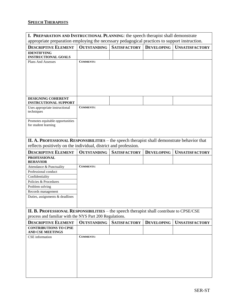### **SPEECH THERAPISTS**

| I. PREPARATION AND INSTRUCTIONAL PLANNING: the speech therapist shall demonstrate             |                    |                     |                   |                       |  |  |
|-----------------------------------------------------------------------------------------------|--------------------|---------------------|-------------------|-----------------------|--|--|
| appropriate preparation employing the necessary pedagogical practices to support instruction. |                    |                     |                   |                       |  |  |
| <b>DESCRIPTIVE ELEMENT</b>                                                                    | <b>OUTSTANDING</b> | <b>SATISFACTORY</b> | <b>DEVELOPING</b> | <b>UNSATISFACTORY</b> |  |  |
| <b>IDENTIFYING</b>                                                                            |                    |                     |                   |                       |  |  |
| <b>INSTRUCTIONAL GOALS</b>                                                                    |                    |                     |                   |                       |  |  |
| Plans And Assesses                                                                            | <b>COMMENTS:</b>   |                     |                   |                       |  |  |
|                                                                                               |                    |                     |                   |                       |  |  |
|                                                                                               |                    |                     |                   |                       |  |  |
|                                                                                               |                    |                     |                   |                       |  |  |
|                                                                                               |                    |                     |                   |                       |  |  |
|                                                                                               |                    |                     |                   |                       |  |  |
| DESIGNING COHERENT                                                                            |                    |                     |                   |                       |  |  |
| <b>INSTRCUTIONAL SUPPORT</b>                                                                  |                    |                     |                   |                       |  |  |
| Uses appropriate instructional                                                                | <b>COMMENTS:</b>   |                     |                   |                       |  |  |
| techniques                                                                                    |                    |                     |                   |                       |  |  |
| Promotes equitable opportunities                                                              |                    |                     |                   |                       |  |  |
| for student learning                                                                          |                    |                     |                   |                       |  |  |
|                                                                                               |                    |                     |                   |                       |  |  |
|                                                                                               |                    |                     |                   |                       |  |  |
| II. A. PROFESSIONAL RESPONSIBILITIES – the speech therapist shall demonstrate behavior that   |                    |                     |                   |                       |  |  |
| reflects positively on the individual, district and profession.                               |                    |                     |                   |                       |  |  |
| <b>DESCRIPTIVE ELEMENT</b>                                                                    | <b>OUTSTANDING</b> | <b>SATISFACTORY</b> | <b>DEVELOPING</b> | <b>UNSATISFACTORY</b> |  |  |
| <b>PROFESSIONAL</b><br><b>BEHAVIOR</b>                                                        |                    |                     |                   |                       |  |  |
| Attendance & Punctuality                                                                      | <b>COMMENTS:</b>   |                     |                   |                       |  |  |
| Professional conduct                                                                          |                    |                     |                   |                       |  |  |
| Confidentiality                                                                               |                    |                     |                   |                       |  |  |
| Policies & Procedures                                                                         |                    |                     |                   |                       |  |  |
| Problem solving                                                                               |                    |                     |                   |                       |  |  |
| Records management<br>Duties, assignments & deadlines                                         |                    |                     |                   |                       |  |  |
|                                                                                               |                    |                     |                   |                       |  |  |
|                                                                                               |                    |                     |                   |                       |  |  |
| II. B. PROFESSIONAL RESPONSIBILITIES - the speech therapist shall contribute to CPSE/CSE      |                    |                     |                   |                       |  |  |
| process and familiar with the NYS Part 200 Regulations.                                       |                    |                     |                   |                       |  |  |
| <b>DESCRIPTIVE ELEMENT</b>                                                                    | <b>OUTSTANDING</b> | <b>SATISFACTORY</b> | <b>DEVELOPING</b> | <b>UNSATISFACTORY</b> |  |  |
| <b>CONTRIBUTIONS TO CPSE</b><br><b>AND CSE MEETINGS</b>                                       |                    |                     |                   |                       |  |  |
| CSE information                                                                               | <b>COMMENTS:</b>   |                     |                   |                       |  |  |
|                                                                                               |                    |                     |                   |                       |  |  |
|                                                                                               |                    |                     |                   |                       |  |  |
|                                                                                               |                    |                     |                   |                       |  |  |
|                                                                                               |                    |                     |                   |                       |  |  |
|                                                                                               |                    |                     |                   |                       |  |  |
|                                                                                               |                    |                     |                   |                       |  |  |
|                                                                                               |                    |                     |                   |                       |  |  |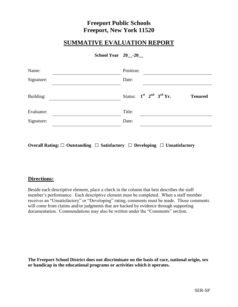### **SUMMATIVE EVALUATION REPORT**

| School Year 20 -20 |  |  |
|--------------------|--|--|
|--------------------|--|--|

| Date:  |           |                               |
|--------|-----------|-------------------------------|
|        |           | <b>Tenured</b>                |
| Title: |           |                               |
| Date:  |           |                               |
|        | Position: | Status: $1st$ $2nd$ $3rd$ Yr. |

**Overall Rating: □ Outstanding □ Satisfactory □ Developing □ Unsatisfactory**

### **Directions:**

Beside each descriptive element, place a check in the column that best describes the staff member's performance. Each descriptive element must be completed. When a staff member receives an "Unsatisfactory" or "Developing" rating, comments must be made. Those comments will come from claims and/or judgments that are backed by evidence through supporting documentation. Commendations may also be written under the "Comments" section.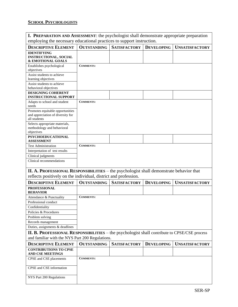### **SCHOOL PSYCHOLOGISTS**

| <b>I. PREPARATION AND ASSESSMENT:</b> the psychologist shall demonstrate appropriate preparation |                    |                     |                   |                                                                                                     |  |  |  |
|--------------------------------------------------------------------------------------------------|--------------------|---------------------|-------------------|-----------------------------------------------------------------------------------------------------|--|--|--|
| employing the necessary educational practices to support instruction.                            |                    |                     |                   |                                                                                                     |  |  |  |
| <b>DESCRIPTIVE ELEMENT</b>                                                                       | <b>OUTSTANDING</b> | <b>SATISFACTORY</b> | <b>DEVELOPING</b> | <b>UNSATISFACTORY</b>                                                                               |  |  |  |
| <b>IDENTIFYING</b>                                                                               |                    |                     |                   |                                                                                                     |  |  |  |
| <b>INSTRUCTIONAL, SOCIAL</b><br>& EMOTIONAL GOALS                                                |                    |                     |                   |                                                                                                     |  |  |  |
| Establishes psychological                                                                        | <b>COMMENTS:</b>   |                     |                   |                                                                                                     |  |  |  |
| objectives                                                                                       |                    |                     |                   |                                                                                                     |  |  |  |
| Assist students to achieve                                                                       |                    |                     |                   |                                                                                                     |  |  |  |
| learning objectives<br>Assist students to achieve                                                |                    |                     |                   |                                                                                                     |  |  |  |
| behavioral objectives                                                                            |                    |                     |                   |                                                                                                     |  |  |  |
| DESIGNING COHERENT                                                                               |                    |                     |                   |                                                                                                     |  |  |  |
| <b>INSTRUCTIONAL SUPPORT</b>                                                                     |                    |                     |                   |                                                                                                     |  |  |  |
| Adapts to school and student<br>needs                                                            | <b>COMMENTS:</b>   |                     |                   |                                                                                                     |  |  |  |
| Promotes equitable opportunities                                                                 |                    |                     |                   |                                                                                                     |  |  |  |
| and appreciation of diversity for<br>all students                                                |                    |                     |                   |                                                                                                     |  |  |  |
| Selects appropriate materials,                                                                   |                    |                     |                   |                                                                                                     |  |  |  |
| methodology and behavioral<br>objectives                                                         |                    |                     |                   |                                                                                                     |  |  |  |
| <b>PSYCHOEDUCATIONAL</b><br><b>ASSESSMENT</b>                                                    |                    |                     |                   |                                                                                                     |  |  |  |
| <b>Test Administration</b>                                                                       | <b>COMMENTS:</b>   |                     |                   |                                                                                                     |  |  |  |
| Interpretation of test results                                                                   |                    |                     |                   |                                                                                                     |  |  |  |
| Clinical judgments                                                                               |                    |                     |                   |                                                                                                     |  |  |  |
| Clinical recommendations                                                                         |                    |                     |                   |                                                                                                     |  |  |  |
| II. A. PROFESSIONAL RESPONSIBILITIES – the psychologist shall demonstrate behavior that          |                    |                     |                   |                                                                                                     |  |  |  |
| reflects positively on the individual, district and profession.                                  |                    |                     |                   |                                                                                                     |  |  |  |
| <b>DESCRIPTIVE ELEMENT</b>                                                                       | <b>OUTSTANDING</b> | <b>SATISFACTORY</b> | <b>DEVELOPING</b> | <b>UNSATISFACTORY</b>                                                                               |  |  |  |
| <b>PROFESSIONAL</b><br><b>BEHAVIOR</b>                                                           |                    |                     |                   |                                                                                                     |  |  |  |
| Attendance & Punctuality                                                                         | <b>COMMENTS:</b>   |                     |                   |                                                                                                     |  |  |  |
| Professional conduct                                                                             |                    |                     |                   |                                                                                                     |  |  |  |
| Confidentiality                                                                                  |                    |                     |                   |                                                                                                     |  |  |  |
| Policies & Procedures                                                                            |                    |                     |                   |                                                                                                     |  |  |  |
| Problem solving                                                                                  |                    |                     |                   |                                                                                                     |  |  |  |
| Records management                                                                               |                    |                     |                   |                                                                                                     |  |  |  |
| Duties, assignments & deadlines                                                                  |                    |                     |                   |                                                                                                     |  |  |  |
|                                                                                                  |                    |                     |                   |                                                                                                     |  |  |  |
|                                                                                                  |                    |                     |                   | <b>II. B. PROFESSIONAL RESPONSIBILITIES</b> – the psychologist shall contribute to CPSE/CSE process |  |  |  |
| and familiar with the NYS Part 200 Regulations.<br><b>DESCRIPTIVE ELEMENT</b>                    | <b>OUTSTANDING</b> | <b>SATISFACTORY</b> | <b>DEVELOPING</b> | <b>UNSATISFACTORY</b>                                                                               |  |  |  |
| <b>CONTRIBUTIONS TO CPSE</b><br><b>AND CSE MEETINGS</b>                                          |                    |                     |                   |                                                                                                     |  |  |  |
| CPSE and CSE placements                                                                          | <b>COMMENTS:</b>   |                     |                   |                                                                                                     |  |  |  |
| CPSE and CSE information                                                                         |                    |                     |                   |                                                                                                     |  |  |  |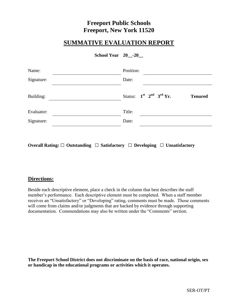### **SUMMATIVE EVALUATION REPORT**

| School Year 20 -20 |  |  |
|--------------------|--|--|
|--------------------|--|--|

| Date:  |           |                               |
|--------|-----------|-------------------------------|
|        |           | <b>Tenured</b>                |
| Title: |           |                               |
| Date:  |           |                               |
|        | Position: | Status: $1st$ $2nd$ $3rd$ Yr. |

**Overall Rating: □ Outstanding □ Satisfactory □ Developing □ Unsatisfactory**

### **Directions:**

Beside each descriptive element, place a check in the column that best describes the staff member's performance. Each descriptive element must be completed. When a staff member receives an "Unsatisfactory" or "Developing" rating, comments must be made. Those comments will come from claims and/or judgments that are backed by evidence through supporting documentation. Commendations may also be written under the "Comments" section.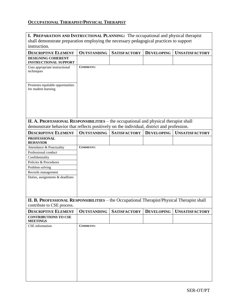### **OCCUPATIONAL THERAPIST/PHYSICAL THERAPIST**

| <b>I. PREPARATION AND INSTRUCTIONAL PLANNING:</b> The occupational and physical therapist                                                                                         |                    |                     |                   |                       |  |  |  |
|-----------------------------------------------------------------------------------------------------------------------------------------------------------------------------------|--------------------|---------------------|-------------------|-----------------------|--|--|--|
| shall demonstrate preparation employing the necessary pedagogical practices to support                                                                                            |                    |                     |                   |                       |  |  |  |
| instruction.                                                                                                                                                                      |                    |                     |                   |                       |  |  |  |
| <b>DESCRIPTIVE ELEMENT</b>                                                                                                                                                        | <b>OUTSTANDING</b> | <b>SATISFACTORY</b> | <b>DEVELOPING</b> | <b>UNSATISFACTORY</b> |  |  |  |
| <b>DESIGNING COHERENT</b><br><b>INSTRUCTIONAL SUPPORT</b>                                                                                                                         |                    |                     |                   |                       |  |  |  |
| Uses appropriate instructional<br>techniques                                                                                                                                      | <b>COMMENTS:</b>   |                     |                   |                       |  |  |  |
| Promotes equitable opportunities<br>for student learning                                                                                                                          |                    |                     |                   |                       |  |  |  |
| II. A. PROFESSIONAL RESPONSIBILITIES – the occupational and physical therapist shall<br>demonstrate behavior that reflects positively on the individual, district and profession. |                    |                     |                   |                       |  |  |  |
| <b>DESCRIPTIVE ELEMENT</b>                                                                                                                                                        | <b>OUTSTANDING</b> | <b>SATISFACTORY</b> | <b>DEVELOPING</b> | <b>UNSATISFACTORY</b> |  |  |  |
| <b>PROFESSIONAL</b>                                                                                                                                                               |                    |                     |                   |                       |  |  |  |
| <b>BEHAVIOR</b>                                                                                                                                                                   |                    |                     |                   |                       |  |  |  |
| Attendance & Punctuality                                                                                                                                                          | <b>COMMENTS:</b>   |                     |                   |                       |  |  |  |
| Professional conduct                                                                                                                                                              |                    |                     |                   |                       |  |  |  |
| Confidentiality                                                                                                                                                                   |                    |                     |                   |                       |  |  |  |
| Policies & Procedures                                                                                                                                                             |                    |                     |                   |                       |  |  |  |
| Problem solving                                                                                                                                                                   |                    |                     |                   |                       |  |  |  |
| Records management                                                                                                                                                                |                    |                     |                   |                       |  |  |  |
| Duties, assignments & deadlines                                                                                                                                                   |                    |                     |                   |                       |  |  |  |
| II. B. PROFESSIONAL RESPONSIBILITIES - the Occupational Therapist/Physical Therapist shall<br>contribute to CSE process.                                                          |                    |                     |                   |                       |  |  |  |
| <b>DESCRIPTIVE ELEMENT</b>                                                                                                                                                        | <b>OUTSTANDING</b> | <b>SATISFACTORY</b> | <b>DEVELOPING</b> | <b>UNSATISFACTORY</b> |  |  |  |
| <b>CONTRIBUTIONS TO CSE</b>                                                                                                                                                       |                    |                     |                   |                       |  |  |  |
| <b>MEETINGS</b>                                                                                                                                                                   |                    |                     |                   |                       |  |  |  |
| CSE information                                                                                                                                                                   | <b>COMMENTS:</b>   |                     |                   |                       |  |  |  |
|                                                                                                                                                                                   |                    |                     |                   |                       |  |  |  |
|                                                                                                                                                                                   |                    |                     |                   |                       |  |  |  |
|                                                                                                                                                                                   |                    |                     |                   |                       |  |  |  |
|                                                                                                                                                                                   |                    |                     |                   |                       |  |  |  |
|                                                                                                                                                                                   |                    |                     |                   |                       |  |  |  |
|                                                                                                                                                                                   |                    |                     |                   |                       |  |  |  |
|                                                                                                                                                                                   |                    |                     |                   |                       |  |  |  |
|                                                                                                                                                                                   |                    |                     |                   |                       |  |  |  |
|                                                                                                                                                                                   |                    |                     |                   |                       |  |  |  |
|                                                                                                                                                                                   |                    |                     |                   |                       |  |  |  |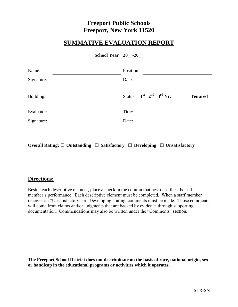### **SUMMATIVE EVALUATION REPORT**

| School Year 20 -20 |  |  |
|--------------------|--|--|
|--------------------|--|--|

| Date:  |           |                               |
|--------|-----------|-------------------------------|
|        |           | <b>Tenured</b>                |
| Title: |           |                               |
| Date:  |           |                               |
|        | Position: | Status: $1st$ $2nd$ $3rd$ Yr. |

**Overall Rating: □ Outstanding □ Satisfactory □ Developing □ Unsatisfactory**

### **Directions:**

Beside each descriptive element, place a check in the column that best describes the staff member's performance. Each descriptive element must be completed. When a staff member receives an "Unsatisfactory" or "Developing" rating, comments must be made. Those comments will come from claims and/or judgments that are backed by evidence through supporting documentation. Commendations may also be written under the "Comments" section.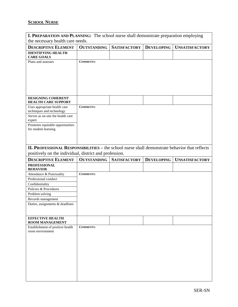### **SCHOOL NURSE**

| I. PREPARATION AND PLANNING: The school nurse shall demonstrate preparation employing         |                    |                     |                   |                       |  |
|-----------------------------------------------------------------------------------------------|--------------------|---------------------|-------------------|-----------------------|--|
| the necessary health care needs.                                                              |                    |                     |                   |                       |  |
| <b>DESCRIPTIVE ELEMENT</b>                                                                    | <b>OUTSTANDING</b> | <b>SATISFACTORY</b> | <b>DEVELOPING</b> | <b>UNSATISFACTORY</b> |  |
| <b>IDENTIFYING HEALTH</b>                                                                     |                    |                     |                   |                       |  |
| <b>CARE GOALS</b>                                                                             | <b>COMMENTS:</b>   |                     |                   |                       |  |
| Plans and assesses                                                                            |                    |                     |                   |                       |  |
|                                                                                               |                    |                     |                   |                       |  |
|                                                                                               |                    |                     |                   |                       |  |
|                                                                                               |                    |                     |                   |                       |  |
|                                                                                               |                    |                     |                   |                       |  |
|                                                                                               |                    |                     |                   |                       |  |
| <b>DESIGNING COHERENT</b><br><b>HEALTH CARE SUPPORT</b>                                       |                    |                     |                   |                       |  |
| Uses appropriate health care                                                                  | <b>COMMENTS:</b>   |                     |                   |                       |  |
| techniques and technology                                                                     |                    |                     |                   |                       |  |
| Serves as on-site the health care<br>expert                                                   |                    |                     |                   |                       |  |
| Promotes equitable opportunities                                                              |                    |                     |                   |                       |  |
| for student learning                                                                          |                    |                     |                   |                       |  |
|                                                                                               |                    |                     |                   |                       |  |
|                                                                                               |                    |                     |                   |                       |  |
| II. PROFESSIONAL RESPONSIBILITIES – the school nurse shall demonstrate behavior that reflects |                    |                     |                   |                       |  |
| positively on the individual, district and profession.                                        |                    |                     |                   |                       |  |
|                                                                                               |                    |                     |                   |                       |  |
|                                                                                               |                    |                     |                   |                       |  |
| <b>DESCRIPTIVE ELEMENT</b><br><b>PROFESSIONAL</b>                                             | <b>OUTSTANDING</b> | <b>SATISFACTORY</b> | <b>DEVELOPING</b> | <b>UNSATISFACTORY</b> |  |
| <b>BEHAVIOR</b>                                                                               | <b>COMMENTS:</b>   |                     |                   |                       |  |
| Attendance & Punctuality<br>Professional conduct                                              |                    |                     |                   |                       |  |
| Confidentiality                                                                               |                    |                     |                   |                       |  |
| Policies & Procedures                                                                         |                    |                     |                   |                       |  |
| Problem solving                                                                               |                    |                     |                   |                       |  |
| Records management                                                                            |                    |                     |                   |                       |  |
| Duties, assignments & deadlines                                                               |                    |                     |                   |                       |  |
|                                                                                               |                    |                     |                   |                       |  |
| <b>EFFECTIVE HEALTH</b><br>ROOM MANAGEMENT                                                    |                    |                     |                   |                       |  |
| Establishment of positive health                                                              | <b>COMMENTS:</b>   |                     |                   |                       |  |
| room environment                                                                              |                    |                     |                   |                       |  |
|                                                                                               |                    |                     |                   |                       |  |
|                                                                                               |                    |                     |                   |                       |  |
|                                                                                               |                    |                     |                   |                       |  |
|                                                                                               |                    |                     |                   |                       |  |
|                                                                                               |                    |                     |                   |                       |  |
|                                                                                               |                    |                     |                   |                       |  |
|                                                                                               |                    |                     |                   |                       |  |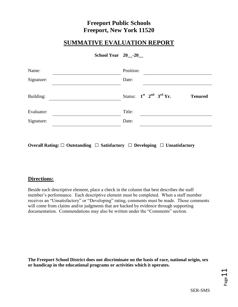### **SUMMATIVE EVALUATION REPORT**

| School Year 20 -20 |  |  |
|--------------------|--|--|
|--------------------|--|--|

| Position:                                       |
|-------------------------------------------------|
| Date:                                           |
| Status: $1st$ $2nd$ $3rd$ Yr.<br><b>Tenured</b> |
| Title:                                          |
| Date:                                           |
|                                                 |

**Overall Rating: □ Outstanding □ Satisfactory □ Developing □ Unsatisfactory**

### **Directions:**

Beside each descriptive element, place a check in the column that best describes the staff member's performance. Each descriptive element must be completed. When a staff member receives an "Unsatisfactory" or "Developing" rating, comments must be made. Those comments will come from claims and/or judgments that are backed by evidence through supporting documentation. Commendations may also be written under the "Comments" section.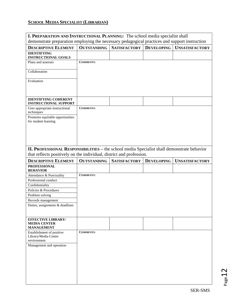### **SCHOOL MEDIA SPECIALIST (LIBRARIAN)**

| I. PREPARATION AND INSTRUCTIONAL PLANNING: The school media specialist shall                  |                    |                     |                   |                       |
|-----------------------------------------------------------------------------------------------|--------------------|---------------------|-------------------|-----------------------|
| demonstrate preparation employing the necessary pedagogical practices and support instruction |                    |                     |                   |                       |
| <b>DESCRIPTIVE ELEMENT</b>                                                                    | <b>OUTSTANDING</b> | <b>SATISFACTORY</b> | <b>DEVELOPING</b> | <b>UNSATISFACTORY</b> |
| <b>IDENTIFYING</b><br><b>INSTRUCTIONAL GOALS</b>                                              |                    |                     |                   |                       |
| Plans and assesses                                                                            | <b>COMMENTS:</b>   |                     |                   |                       |
|                                                                                               |                    |                     |                   |                       |
| Collaboration                                                                                 |                    |                     |                   |                       |
| Evaluation                                                                                    |                    |                     |                   |                       |
|                                                                                               |                    |                     |                   |                       |
|                                                                                               |                    |                     |                   |                       |
| <b>IDENTIFYING COHERENT</b><br><b>INSTRUCTIONAL SUPPORT</b>                                   |                    |                     |                   |                       |
| Uses appropriate instructional                                                                | <b>COMMENTS:</b>   |                     |                   |                       |
| techniques                                                                                    |                    |                     |                   |                       |
| Promotes equitable opportunities<br>for student learning                                      |                    |                     |                   |                       |
|                                                                                               |                    |                     |                   |                       |
|                                                                                               |                    |                     |                   |                       |
|                                                                                               |                    |                     |                   |                       |
|                                                                                               |                    |                     |                   |                       |
| II. PROFESSIONAL RESPONSIBILITIES – the school media Specialist shall demonstrate behavior    |                    |                     |                   |                       |
| that reflects positively on the individual, district and profession.                          |                    |                     |                   |                       |
|                                                                                               |                    |                     |                   |                       |
| <b>DESCRIPTIVE ELEMENT</b>                                                                    | <b>OUTSTANDING</b> | <b>SATISFACTORY</b> | <b>DEVELOPING</b> | <b>UNSATISFACTORY</b> |
| <b>PROFESSIONAL</b>                                                                           |                    |                     |                   |                       |
| <b>BEHAVIOR</b><br>Attendance & Punctuality                                                   | <b>COMMENTS:</b>   |                     |                   |                       |
| Professional conduct                                                                          |                    |                     |                   |                       |
| Confidentiality                                                                               |                    |                     |                   |                       |
| Policies & Procedures                                                                         |                    |                     |                   |                       |
| Problem solving                                                                               |                    |                     |                   |                       |
| Records management<br>Duties, assignments & deadlines                                         |                    |                     |                   |                       |
|                                                                                               |                    |                     |                   |                       |
|                                                                                               |                    |                     |                   |                       |
| <b>EFFECTIVE LIBRARY/</b><br><b>MEDIA CENTER</b>                                              |                    |                     |                   |                       |
| <b>MANAGEMENT</b>                                                                             |                    |                     |                   |                       |
| Establishment of positive<br>Library/Media Center                                             | <b>COMMENTS:</b>   |                     |                   |                       |
| environment                                                                                   |                    |                     |                   |                       |
| Management and operation                                                                      |                    |                     |                   |                       |
|                                                                                               |                    |                     |                   |                       |
|                                                                                               |                    |                     |                   |                       |
|                                                                                               |                    |                     |                   |                       |
|                                                                                               |                    |                     |                   |                       |
|                                                                                               |                    |                     |                   |                       |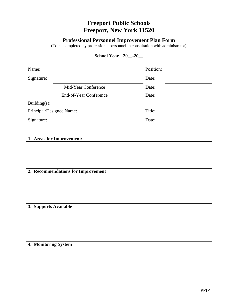### **Professional Personnel Improvement Plan Form**

(To be completed by professional personnel in consultation with administrator)

**School Year 20\_\_-20\_\_**

| Name:                    |                                    | Position: |  |
|--------------------------|------------------------------------|-----------|--|
| Signature:               |                                    | Date:     |  |
|                          | Mid-Year Conference                | Date:     |  |
|                          | End-of-Year Conference             | Date:     |  |
| Building(s):             |                                    |           |  |
| Principal/Designee Name: |                                    | Title:    |  |
| Signature:               |                                    | Date:     |  |
|                          |                                    |           |  |
|                          | 1. Areas for Improvement:          |           |  |
|                          |                                    |           |  |
|                          |                                    |           |  |
|                          |                                    |           |  |
|                          | 2. Recommendations for Improvement |           |  |
|                          |                                    |           |  |
|                          |                                    |           |  |
|                          |                                    |           |  |
| 3. Supports Available    |                                    |           |  |
|                          |                                    |           |  |
|                          |                                    |           |  |
|                          |                                    |           |  |
|                          |                                    |           |  |
| 4. Monitoring System     |                                    |           |  |
|                          |                                    |           |  |
|                          |                                    |           |  |
|                          |                                    |           |  |